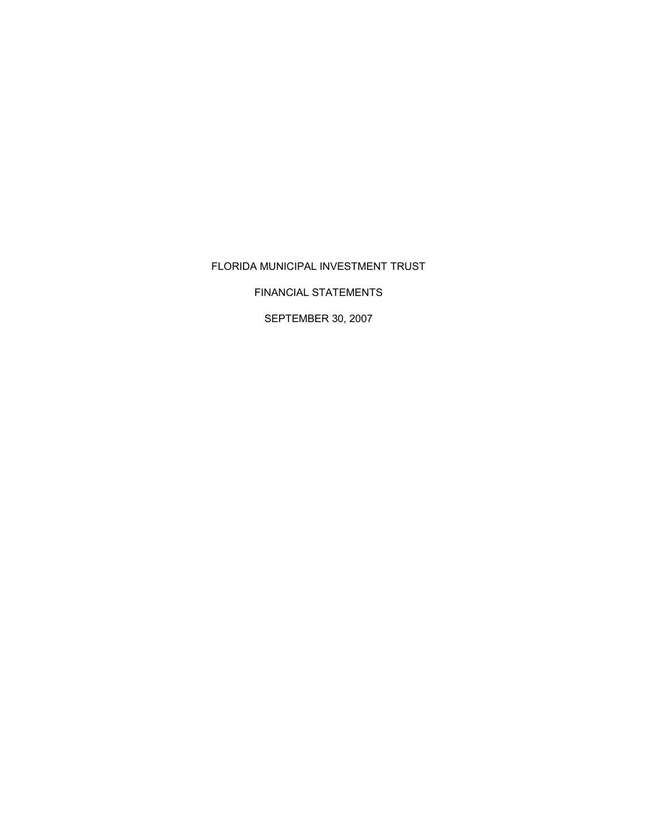# FLORIDA MUNICIPAL INVESTMENT TRUST

FINANCIAL STATEMENTS

SEPTEMBER 30, 2007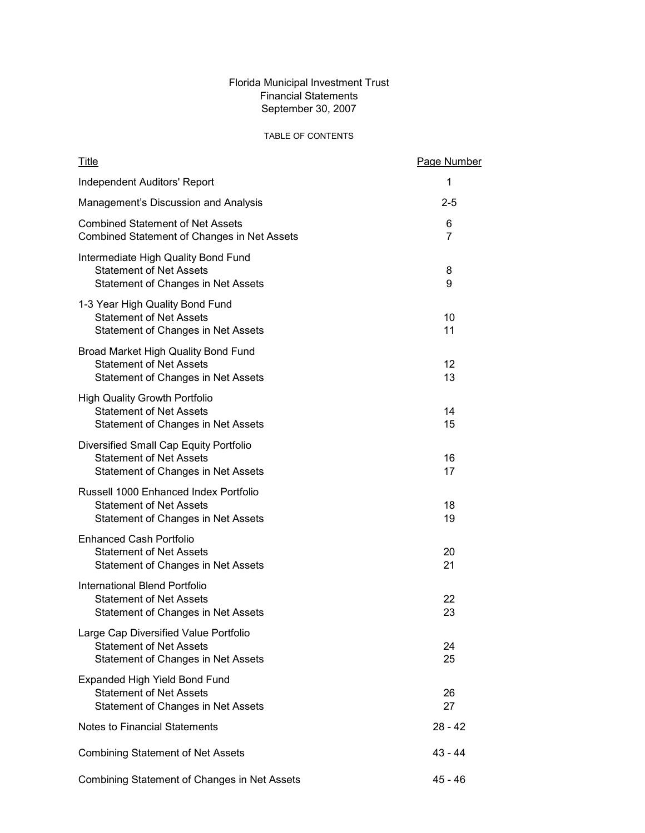# Florida Municipal Investment Trust Financial Statements September 30, 2007

# TABLE OF CONTENTS

| <u>Title</u>                                                                                                   | Page Number |
|----------------------------------------------------------------------------------------------------------------|-------------|
| <b>Independent Auditors' Report</b>                                                                            | 1           |
| Management's Discussion and Analysis                                                                           | $2 - 5$     |
| <b>Combined Statement of Net Assets</b><br>Combined Statement of Changes in Net Assets                         | 6<br>7      |
| Intermediate High Quality Bond Fund<br><b>Statement of Net Assets</b><br>Statement of Changes in Net Assets    | 8<br>9      |
| 1-3 Year High Quality Bond Fund<br><b>Statement of Net Assets</b><br>Statement of Changes in Net Assets        | 10<br>11    |
| Broad Market High Quality Bond Fund<br><b>Statement of Net Assets</b><br>Statement of Changes in Net Assets    | 12<br>13    |
| <b>High Quality Growth Portfolio</b><br><b>Statement of Net Assets</b><br>Statement of Changes in Net Assets   | 14<br>15    |
| Diversified Small Cap Equity Portfolio<br><b>Statement of Net Assets</b><br>Statement of Changes in Net Assets | 16<br>17    |
| Russell 1000 Enhanced Index Portfolio<br><b>Statement of Net Assets</b><br>Statement of Changes in Net Assets  | 18<br>19    |
| <b>Enhanced Cash Portfolio</b><br><b>Statement of Net Assets</b><br>Statement of Changes in Net Assets         | 20<br>21    |
| International Blend Portfolio<br><b>Statement of Net Assets</b><br>Statement of Changes in Net Assets          | 22<br>23    |
| Large Cap Diversified Value Portfolio<br><b>Statement of Net Assets</b><br>Statement of Changes in Net Assets  | 24<br>25    |
| Expanded High Yield Bond Fund<br><b>Statement of Net Assets</b><br>Statement of Changes in Net Assets          | 26<br>27    |
| <b>Notes to Financial Statements</b>                                                                           | 28 - 42     |
| <b>Combining Statement of Net Assets</b>                                                                       | 43 - 44     |
| Combining Statement of Changes in Net Assets                                                                   | 45 - 46     |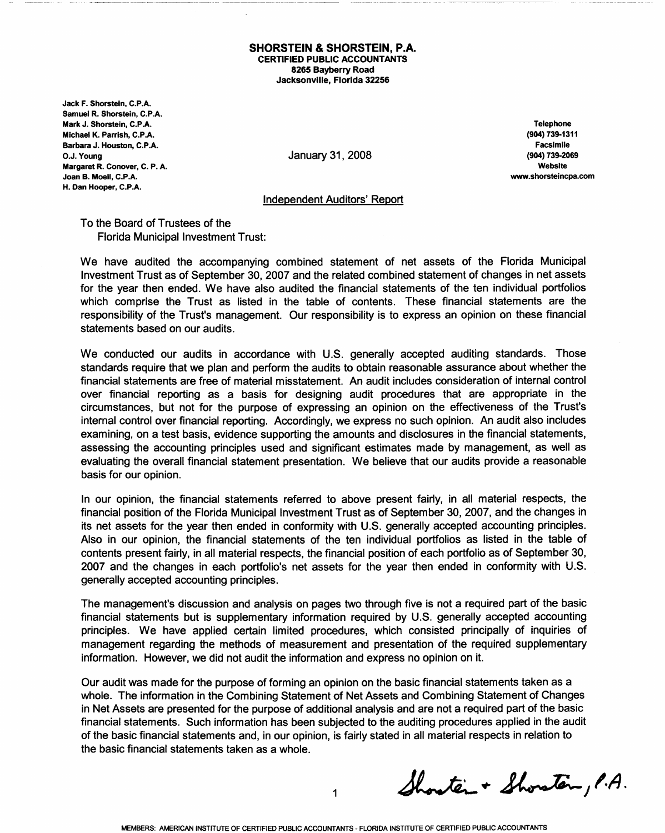#### **SHORSTEIN & SHORSTEIN, P.A. CERTIFIED PUBLIC ACCOUNTANTS** 8265 Bayberry Road Jacksonville, Florida 32256

Jack F. Shorstein, C.P.A. Samuel R. Shorstein, C.P.A. Mark J. Shorstein, C.P.A. Michael K. Parrish. C.P.A. Barbara J. Houston, C.P.A. O.J. Young Margaret R. Conover, C. P. A. Joan B. Moell, C.P.A. H. Dan Hooper, C.P.A.

January 31, 2008

**Telephone** (904) 739-1311 **Facsimile** (904) 739-2069 Website www.shorsteincpa.com

#### **Independent Auditors' Report**

To the Board of Trustees of the **Florida Municipal Investment Trust:** 

We have audited the accompanying combined statement of net assets of the Florida Municipal Investment Trust as of September 30, 2007 and the related combined statement of changes in net assets for the year then ended. We have also audited the financial statements of the ten individual portfolios which comprise the Trust as listed in the table of contents. These financial statements are the responsibility of the Trust's management. Our responsibility is to express an opinion on these financial statements based on our audits.

We conducted our audits in accordance with U.S. generally accepted auditing standards. Those standards require that we plan and perform the audits to obtain reasonable assurance about whether the financial statements are free of material misstatement. An audit includes consideration of internal control over financial reporting as a basis for designing audit procedures that are appropriate in the circumstances, but not for the purpose of expressing an opinion on the effectiveness of the Trust's internal control over financial reporting. Accordingly, we express no such opinion. An audit also includes examining, on a test basis, evidence supporting the amounts and disclosures in the financial statements, assessing the accounting principles used and significant estimates made by management, as well as evaluating the overall financial statement presentation. We believe that our audits provide a reasonable basis for our opinion.

In our opinion, the financial statements referred to above present fairly, in all material respects, the financial position of the Florida Municipal Investment Trust as of September 30, 2007, and the changes in its net assets for the year then ended in conformity with U.S. generally accepted accounting principles. Also in our opinion, the financial statements of the ten individual portfolios as listed in the table of contents present fairly, in all material respects, the financial position of each portfolio as of September 30, 2007 and the changes in each portfolio's net assets for the year then ended in conformity with U.S. generally accepted accounting principles.

The management's discussion and analysis on pages two through five is not a required part of the basic financial statements but is supplementary information required by U.S. generally accepted accounting principles. We have applied certain limited procedures, which consisted principally of inquiries of management regarding the methods of measurement and presentation of the required supplementary information. However, we did not audit the information and express no opinion on it.

Our audit was made for the purpose of forming an opinion on the basic financial statements taken as a whole. The information in the Combining Statement of Net Assets and Combining Statement of Changes in Net Assets are presented for the purpose of additional analysis and are not a required part of the basic financial statements. Such information has been subjected to the auditing procedures applied in the audit of the basic financial statements and, in our opinion, is fairly stated in all material respects in relation to the basic financial statements taken as a whole.

Shorter + Shorator, P.A.

 $\mathbf 1$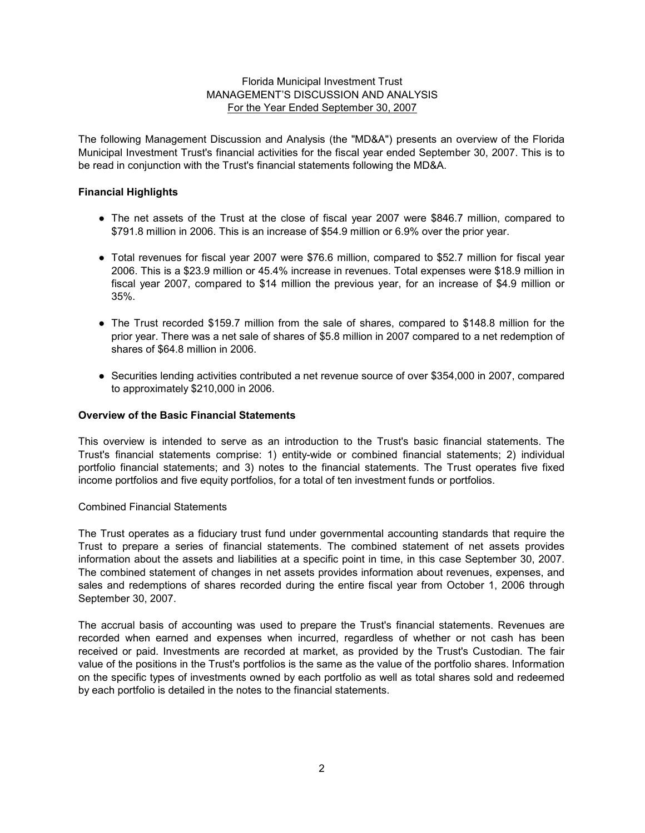The following Management Discussion and Analysis (the "MD&A") presents an overview of the Florida Municipal Investment Trust's financial activities for the fiscal year ended September 30, 2007. This is to be read in conjunction with the Trust's financial statements following the MD&A.

## **Financial Highlights**

- The net assets of the Trust at the close of fiscal year 2007 were \$846.7 million, compared to \$791.8 million in 2006. This is an increase of \$54.9 million or 6.9% over the prior year.
- Total revenues for fiscal year 2007 were \$76.6 million, compared to \$52.7 million for fiscal year 2006. This is a \$23.9 million or 45.4% increase in revenues. Total expenses were \$18.9 million in fiscal year 2007, compared to \$14 million the previous year, for an increase of \$4.9 million or 35%.
- The Trust recorded \$159.7 million from the sale of shares, compared to \$148.8 million for the prior year. There was a net sale of shares of \$5.8 million in 2007 compared to a net redemption of shares of \$64.8 million in 2006.
- Securities lending activities contributed a net revenue source of over \$354,000 in 2007, compared to approximately \$210,000 in 2006.

## **Overview of the Basic Financial Statements**

This overview is intended to serve as an introduction to the Trust's basic financial statements. The Trust's financial statements comprise: 1) entity-wide or combined financial statements; 2) individual portfolio financial statements; and 3) notes to the financial statements. The Trust operates five fixed income portfolios and five equity portfolios, for a total of ten investment funds or portfolios.

#### Combined Financial Statements

The Trust operates as a fiduciary trust fund under governmental accounting standards that require the Trust to prepare a series of financial statements. The combined statement of net assets provides information about the assets and liabilities at a specific point in time, in this case September 30, 2007. The combined statement of changes in net assets provides information about revenues, expenses, and sales and redemptions of shares recorded during the entire fiscal year from October 1, 2006 through September 30, 2007.

The accrual basis of accounting was used to prepare the Trust's financial statements. Revenues are recorded when earned and expenses when incurred, regardless of whether or not cash has been received or paid. Investments are recorded at market, as provided by the Trust's Custodian. The fair value of the positions in the Trust's portfolios is the same as the value of the portfolio shares. Information on the specific types of investments owned by each portfolio as well as total shares sold and redeemed by each portfolio is detailed in the notes to the financial statements.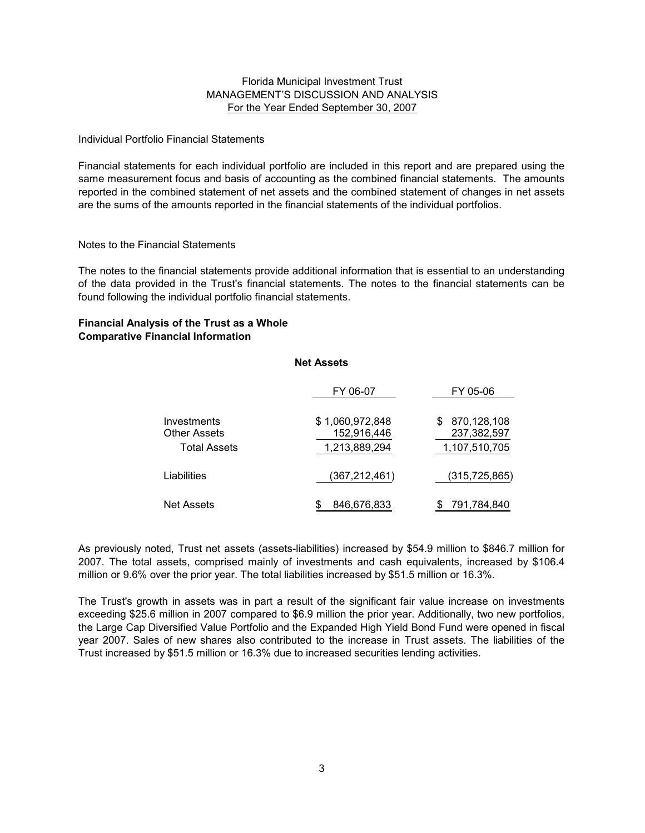#### Individual Portfolio Financial Statements

Financial statements for each individual portfolio are included in this report and are prepared using the same measurement focus and basis of accounting as the combined financial statements. The amounts reported in the combined statement of net assets and the combined statement of changes in net assets are the sums of the amounts reported in the financial statements of the individual portfolios.

#### Notes to the Financial Statements

The notes to the financial statements provide additional information that is essential to an understanding of the data provided in the Trust's financial statements. The notes to the financial statements can be found following the individual portfolio financial statements.

### **Financial Analysis of the Trust as a Whole Comparative Financial Information**

|                                                           | <b>Net Assets</b>                               |                                                   |
|-----------------------------------------------------------|-------------------------------------------------|---------------------------------------------------|
|                                                           | FY 06-07                                        | FY 05-06                                          |
| Investments<br><b>Other Assets</b><br><b>Total Assets</b> | \$1,060,972,848<br>152,916,446<br>1,213,889,294 | 870,128,108<br>\$<br>237,382,597<br>1,107,510,705 |
| Liabilities                                               | (367,212,461)                                   | (315,725,865)                                     |
| <b>Net Assets</b>                                         | 846,676,833                                     | 791,784,840<br>\$                                 |

As previously noted, Trust net assets (assets-liabilities) increased by \$54.9 million to \$846.7 million for 2007. The total assets, comprised mainly of investments and cash equivalents, increased by \$106.4 million or 9.6% over the prior year. The total liabilities increased by \$51.5 million or 16.3%.

The Trust's growth in assets was in part a result of the significant fair value increase on investments exceeding \$25.6 million in 2007 compared to \$6.9 million the prior year. Additionally, two new portfolios, the Large Cap Diversified Value Portfolio and the Expanded High Yield Bond Fund were opened in fiscal year 2007. Sales of new shares also contributed to the increase in Trust assets. The liabilities of the Trust increased by \$51.5 million or 16.3% due to increased securities lending activities.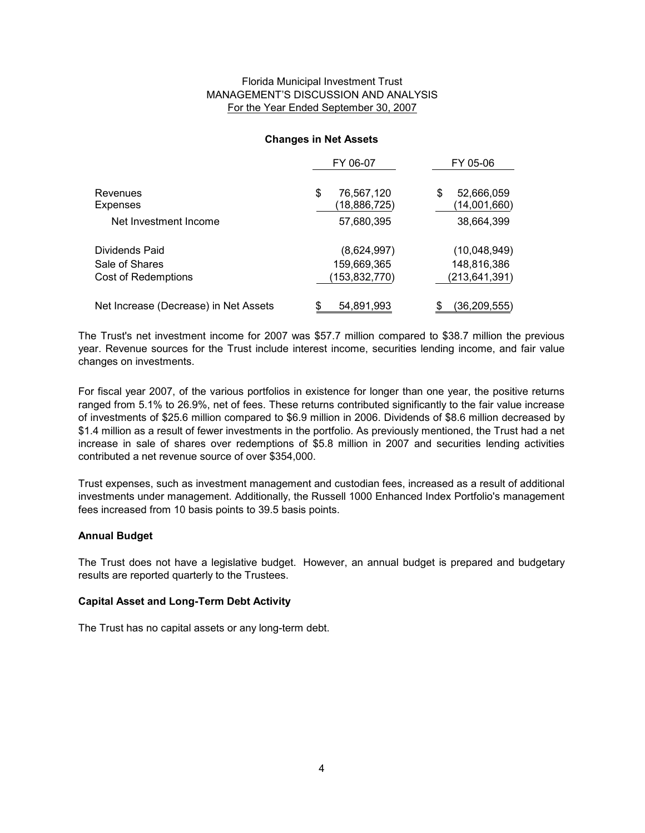#### **Changes in Net Assets**

|                                       | FY 06-07                         | FY 05-06                        |
|---------------------------------------|----------------------------------|---------------------------------|
| Revenues<br>Expenses                  | \$<br>76,567,120<br>(18,886,725) | 52,666,059<br>S<br>(14,001,660) |
| Net Investment Income                 | 57,680,395                       | 38,664,399                      |
| Dividends Paid                        | (8,624,997)                      | (10,048,949)                    |
| Sale of Shares                        | 159,669,365                      | 148,816,386                     |
| Cost of Redemptions                   | (153,832,770)                    | (213,641,391)                   |
| Net Increase (Decrease) in Net Assets | 54,891,993                       | (36,209,555)                    |

The Trust's net investment income for 2007 was \$57.7 million compared to \$38.7 million the previous year. Revenue sources for the Trust include interest income, securities lending income, and fair value changes on investments.

For fiscal year 2007, of the various portfolios in existence for longer than one year, the positive returns ranged from 5.1% to 26.9%, net of fees. These returns contributed significantly to the fair value increase of investments of \$25.6 million compared to \$6.9 million in 2006. Dividends of \$8.6 million decreased by \$1.4 million as a result of fewer investments in the portfolio. As previously mentioned, the Trust had a net increase in sale of shares over redemptions of \$5.8 million in 2007 and securities lending activities contributed a net revenue source of over \$354,000.

Trust expenses, such as investment management and custodian fees, increased as a result of additional investments under management. Additionally, the Russell 1000 Enhanced Index Portfolio's management fees increased from 10 basis points to 39.5 basis points.

# **Annual Budget**

The Trust does not have a legislative budget. However, an annual budget is prepared and budgetary results are reported quarterly to the Trustees.

#### **Capital Asset and Long-Term Debt Activity**

The Trust has no capital assets or any long-term debt.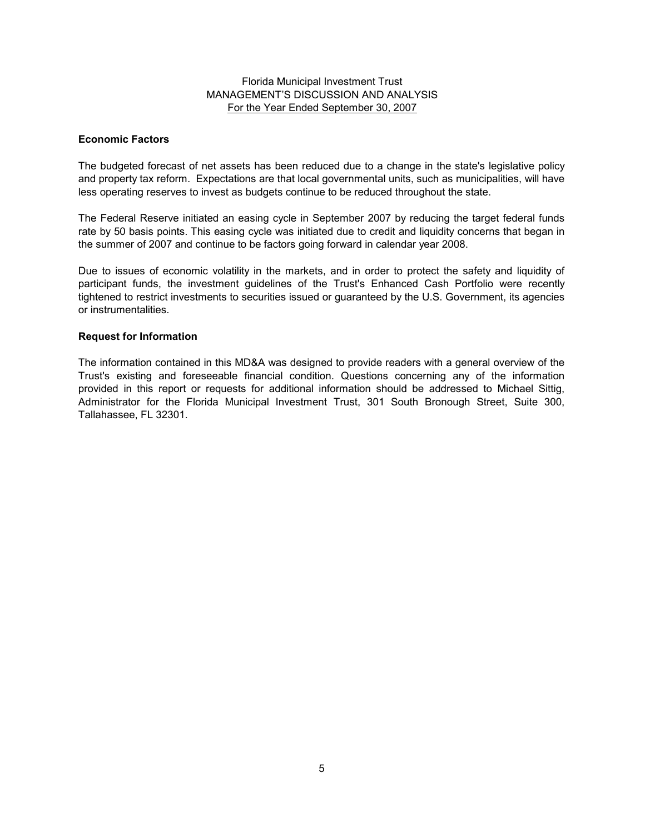### **Economic Factors**

The budgeted forecast of net assets has been reduced due to a change in the state's legislative policy and property tax reform. Expectations are that local governmental units, such as municipalities, will have less operating reserves to invest as budgets continue to be reduced throughout the state.

The Federal Reserve initiated an easing cycle in September 2007 by reducing the target federal funds rate by 50 basis points. This easing cycle was initiated due to credit and liquidity concerns that began in the summer of 2007 and continue to be factors going forward in calendar year 2008.

Due to issues of economic volatility in the markets, and in order to protect the safety and liquidity of participant funds, the investment guidelines of the Trust's Enhanced Cash Portfolio were recently tightened to restrict investments to securities issued or guaranteed by the U.S. Government, its agencies or instrumentalities.

### **Request for Information**

The information contained in this MD&A was designed to provide readers with a general overview of the Trust's existing and foreseeable financial condition. Questions concerning any of the information provided in this report or requests for additional information should be addressed to Michael Sittig, Administrator for the Florida Municipal Investment Trust, 301 South Bronough Street, Suite 300, Tallahassee, FL 32301.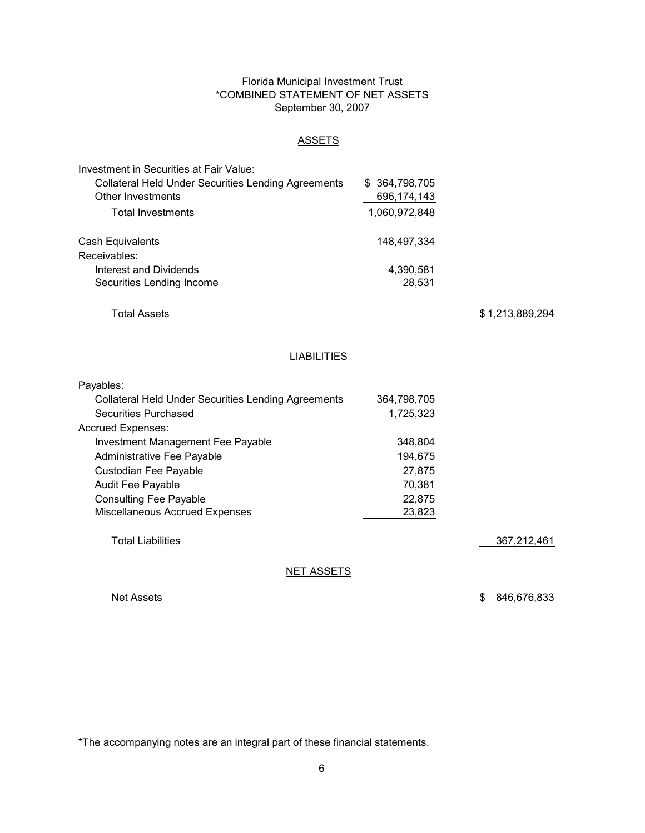## Florida Municipal Investment Trust \*COMBINED STATEMENT OF NET ASSETS September 30, 2007

# **ASSETS**

| Investment in Securities at Fair Value:             |               |
|-----------------------------------------------------|---------------|
| Collateral Held Under Securities Lending Agreements | \$364,798,705 |
| Other Investments                                   | 696,174,143   |
| <b>Total Investments</b>                            | 1,060,972,848 |
| Cash Equivalents                                    | 148,497,334   |
| Receivables:                                        |               |
| Interest and Dividends                              | 4,390,581     |
| Securities Lending Income                           | 28,531        |

Total Assets

\$ 1,213,889,294

### **LIABILITIES**

| Payables:                                                  |             |             |
|------------------------------------------------------------|-------------|-------------|
| <b>Collateral Held Under Securities Lending Agreements</b> | 364.798.705 |             |
| Securities Purchased                                       | 1,725,323   |             |
| <b>Accrued Expenses:</b>                                   |             |             |
| <b>Investment Management Fee Payable</b>                   | 348.804     |             |
| Administrative Fee Payable                                 | 194.675     |             |
| Custodian Fee Payable                                      | 27.875      |             |
| <b>Audit Fee Payable</b>                                   | 70.381      |             |
| <b>Consulting Fee Payable</b>                              | 22.875      |             |
| <b>Miscellaneous Accrued Expenses</b>                      | 23,823      |             |
|                                                            |             |             |
| <b>Total Liabilities</b>                                   |             | 367,212,461 |
|                                                            |             |             |

NET ASSETS

Net Assets

\$ 846,676,833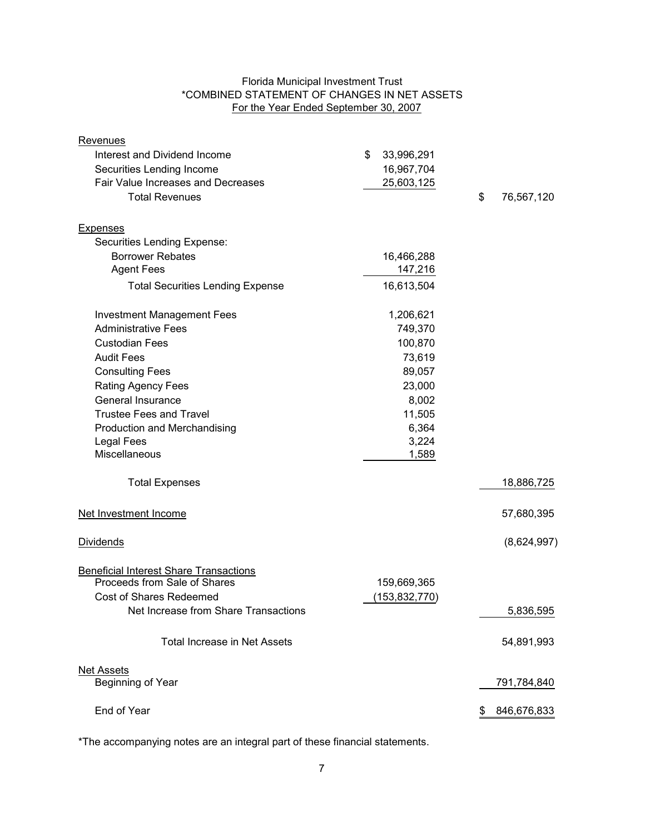# Florida Municipal Investment Trust \*COMBINED STATEMENT OF CHANGES IN NET ASSETS For the Year Ended September 30, 2007

| Revenues                                      |                  |                   |
|-----------------------------------------------|------------------|-------------------|
| Interest and Dividend Income                  | \$<br>33,996,291 |                   |
| Securities Lending Income                     | 16,967,704       |                   |
| Fair Value Increases and Decreases            | 25,603,125       |                   |
| <b>Total Revenues</b>                         |                  | \$<br>76,567,120  |
| <b>Expenses</b>                               |                  |                   |
| Securities Lending Expense:                   |                  |                   |
| <b>Borrower Rebates</b>                       | 16,466,288       |                   |
| <b>Agent Fees</b>                             | 147,216          |                   |
| <b>Total Securities Lending Expense</b>       | 16,613,504       |                   |
| <b>Investment Management Fees</b>             | 1,206,621        |                   |
| <b>Administrative Fees</b>                    | 749,370          |                   |
| <b>Custodian Fees</b>                         | 100,870          |                   |
| <b>Audit Fees</b>                             | 73,619           |                   |
| <b>Consulting Fees</b>                        | 89,057           |                   |
| <b>Rating Agency Fees</b>                     | 23,000           |                   |
| General Insurance                             | 8,002            |                   |
| <b>Trustee Fees and Travel</b>                | 11,505           |                   |
| Production and Merchandising                  | 6,364            |                   |
| <b>Legal Fees</b>                             | 3,224            |                   |
| Miscellaneous                                 | 1,589            |                   |
| <b>Total Expenses</b>                         |                  | 18,886,725        |
| Net Investment Income                         |                  | 57,680,395        |
| <b>Dividends</b>                              |                  | (8,624,997)       |
| <b>Beneficial Interest Share Transactions</b> |                  |                   |
| Proceeds from Sale of Shares                  | 159,669,365      |                   |
| Cost of Shares Redeemed                       | (153, 832, 770)  |                   |
| Net Increase from Share Transactions          |                  | 5,836,595         |
| <b>Total Increase in Net Assets</b>           |                  | 54,891,993        |
| <b>Net Assets</b>                             |                  |                   |
| Beginning of Year                             |                  | 791,784,840       |
| End of Year                                   |                  | 846,676,833<br>\$ |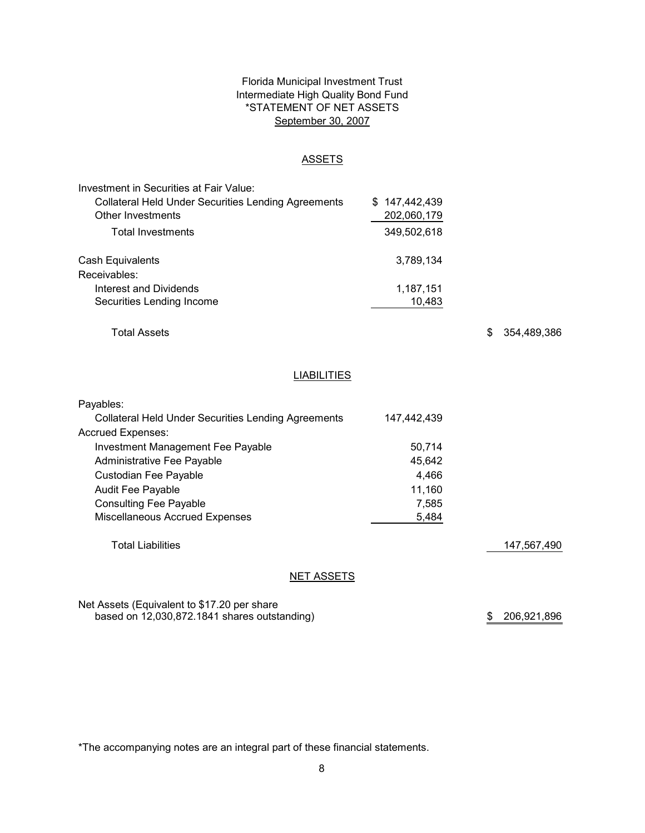# Florida Municipal Investment Trust Intermediate High Quality Bond Fund \*STATEMENT OF NET ASSETS September 30, 2007

#### **ASSETS**

| Investment in Securities at Fair Value:                    |               |
|------------------------------------------------------------|---------------|
| <b>Collateral Held Under Securities Lending Agreements</b> | \$147,442,439 |
| Other Investments                                          | 202,060,179   |
| <b>Total Investments</b>                                   | 349,502,618   |
| Cash Equivalents                                           | 3,789,134     |
| Receivables:                                               |               |
| Interest and Dividends                                     | 1,187,151     |
| Securities Lending Income                                  | 10,483        |

Total Assets

\$ 354,489,386

# **LIABILITIES**

| Payables:                                                  |             |             |
|------------------------------------------------------------|-------------|-------------|
| <b>Collateral Held Under Securities Lending Agreements</b> | 147.442.439 |             |
| <b>Accrued Expenses:</b>                                   |             |             |
| <b>Investment Management Fee Payable</b>                   | 50.714      |             |
| Administrative Fee Payable                                 | 45.642      |             |
| Custodian Fee Payable                                      | 4.466       |             |
| <b>Audit Fee Payable</b>                                   | 11.160      |             |
| <b>Consulting Fee Payable</b>                              | 7.585       |             |
| <b>Miscellaneous Accrued Expenses</b>                      | 5,484       |             |
|                                                            |             |             |
| <b>Total Liabilities</b>                                   |             | 147,567,490 |
|                                                            |             |             |
|                                                            |             |             |

# NET ASSETS

Net Assets (Equivalent to \$17.20 per share based on 12,030,872.1841 shares outstanding)

\$ 206,921,896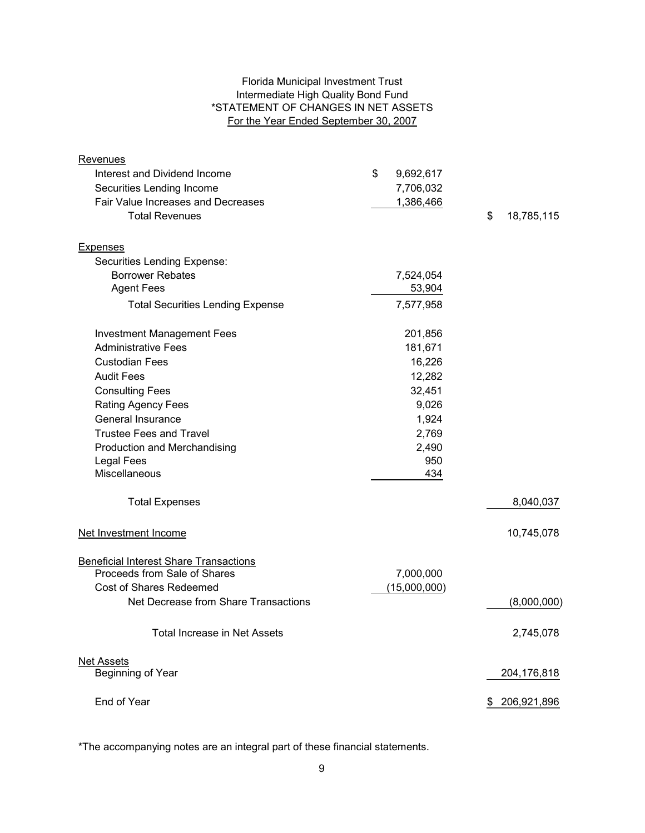# Florida Municipal Investment Trust Intermediate High Quality Bond Fund \*STATEMENT OF CHANGES IN NET ASSETS For the Year Ended September 30, 2007

| Revenues                                      |                 |                  |
|-----------------------------------------------|-----------------|------------------|
| Interest and Dividend Income                  | \$<br>9,692,617 |                  |
| Securities Lending Income                     | 7,706,032       |                  |
| <b>Fair Value Increases and Decreases</b>     | 1,386,466       |                  |
| <b>Total Revenues</b>                         |                 | \$<br>18,785,115 |
| <b>Expenses</b>                               |                 |                  |
| Securities Lending Expense:                   |                 |                  |
| <b>Borrower Rebates</b>                       | 7,524,054       |                  |
| <b>Agent Fees</b>                             | 53,904          |                  |
| <b>Total Securities Lending Expense</b>       | 7,577,958       |                  |
| <b>Investment Management Fees</b>             | 201,856         |                  |
| <b>Administrative Fees</b>                    | 181,671         |                  |
| <b>Custodian Fees</b>                         | 16,226          |                  |
| <b>Audit Fees</b>                             | 12,282          |                  |
| <b>Consulting Fees</b>                        | 32,451          |                  |
| Rating Agency Fees                            | 9,026           |                  |
| General Insurance                             | 1,924           |                  |
| <b>Trustee Fees and Travel</b>                | 2,769           |                  |
| Production and Merchandising                  | 2,490           |                  |
| <b>Legal Fees</b>                             | 950             |                  |
| Miscellaneous                                 | 434             |                  |
| <b>Total Expenses</b>                         |                 | 8,040,037        |
| Net Investment Income                         |                 | 10,745,078       |
| <b>Beneficial Interest Share Transactions</b> |                 |                  |
| Proceeds from Sale of Shares                  | 7,000,000       |                  |
| <b>Cost of Shares Redeemed</b>                | (15,000,000)    |                  |
| Net Decrease from Share Transactions          |                 | (8,000,000)      |
| <b>Total Increase in Net Assets</b>           |                 | 2,745,078        |
| <b>Net Assets</b>                             |                 |                  |
| Beginning of Year                             |                 | 204,176,818      |
| End of Year                                   |                 | 206,921,896      |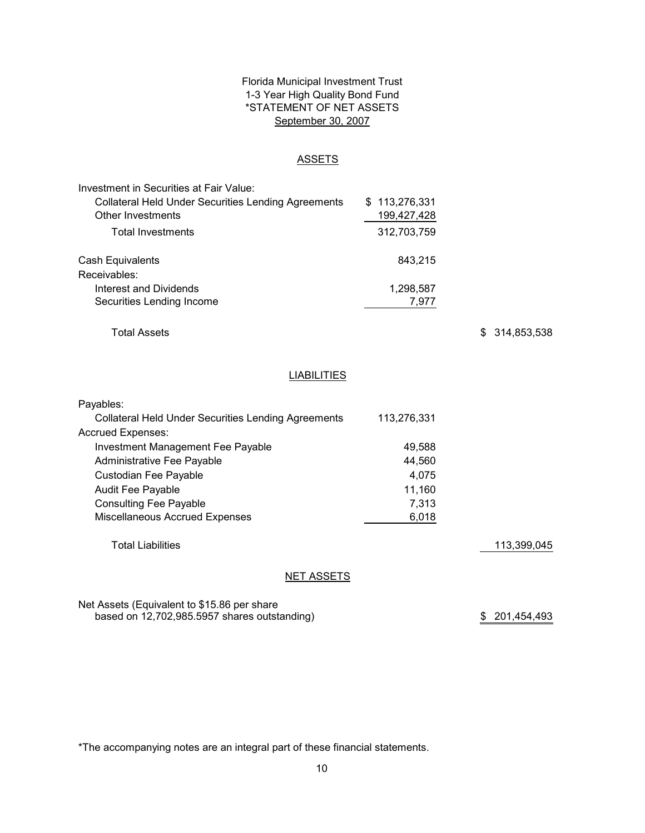# Florida Municipal Investment Trust 1-3 Year High Quality Bond Fund \*STATEMENT OF NET ASSETS September 30, 2007

### ASSETS

| Investment in Securities at Fair Value:                    |               |
|------------------------------------------------------------|---------------|
| <b>Collateral Held Under Securities Lending Agreements</b> | \$113,276,331 |
| Other Investments                                          | 199,427,428   |
| <b>Total Investments</b>                                   | 312,703,759   |
| Cash Equivalents                                           | 843.215       |
| Receivables:                                               |               |
| Interest and Dividends                                     | 1,298,587     |
| Securities Lending Income                                  | 7.977         |

Total Assets

\$ 314,853,538

# **LIABILITIES**

| Payables:                                                  |             |
|------------------------------------------------------------|-------------|
| <b>Collateral Held Under Securities Lending Agreements</b> | 113,276,331 |
| <b>Accrued Expenses:</b>                                   |             |
| <b>Investment Management Fee Payable</b>                   | 49,588      |
| Administrative Fee Payable                                 | 44,560      |
| Custodian Fee Payable                                      | 4,075       |
| <b>Audit Fee Payable</b>                                   | 11,160      |
| <b>Consulting Fee Payable</b>                              | 7,313       |
| <b>Miscellaneous Accrued Expenses</b>                      | 6,018       |
|                                                            |             |
| <b>Total Liabilities</b>                                   |             |

113,399,045

#### **NET ASSETS**

### Net Assets (Equivalent to \$15.86 per share based on 12,702,985.5957 shares outstanding)

\$ 201,454,493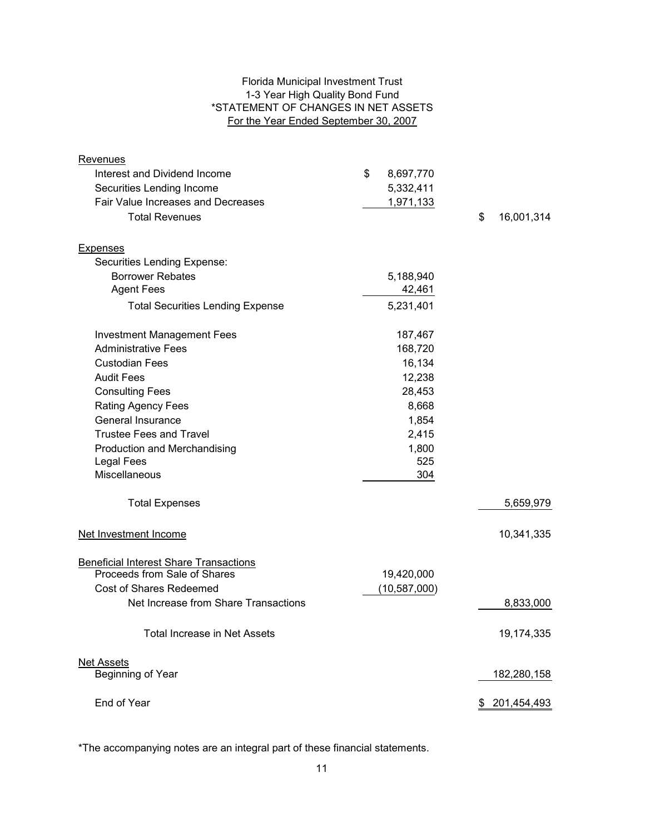# Florida Municipal Investment Trust 1-3 Year High Quality Bond Fund \*STATEMENT OF CHANGES IN NET ASSETS For the Year Ended September 30, 2007

| <b>Revenues</b>                               |                 |     |             |
|-----------------------------------------------|-----------------|-----|-------------|
| Interest and Dividend Income                  | \$<br>8,697,770 |     |             |
| Securities Lending Income                     | 5,332,411       |     |             |
| Fair Value Increases and Decreases            | 1,971,133       |     |             |
| <b>Total Revenues</b>                         |                 | \$  | 16,001,314  |
|                                               |                 |     |             |
| <b>Expenses</b>                               |                 |     |             |
| Securities Lending Expense:                   |                 |     |             |
| <b>Borrower Rebates</b>                       | 5,188,940       |     |             |
| <b>Agent Fees</b>                             | 42,461          |     |             |
| <b>Total Securities Lending Expense</b>       | 5,231,401       |     |             |
| <b>Investment Management Fees</b>             | 187,467         |     |             |
| <b>Administrative Fees</b>                    | 168,720         |     |             |
| <b>Custodian Fees</b>                         | 16,134          |     |             |
| <b>Audit Fees</b>                             | 12,238          |     |             |
| <b>Consulting Fees</b>                        | 28,453          |     |             |
| <b>Rating Agency Fees</b>                     | 8,668           |     |             |
| General Insurance                             | 1,854           |     |             |
| <b>Trustee Fees and Travel</b>                | 2,415           |     |             |
| Production and Merchandising                  | 1,800           |     |             |
| <b>Legal Fees</b>                             | 525             |     |             |
| Miscellaneous                                 | 304             |     |             |
| <b>Total Expenses</b>                         |                 |     | 5,659,979   |
| Net Investment Income                         |                 |     | 10,341,335  |
| <b>Beneficial Interest Share Transactions</b> |                 |     |             |
| Proceeds from Sale of Shares                  | 19,420,000      |     |             |
| <b>Cost of Shares Redeemed</b>                | (10, 587, 000)  |     |             |
| Net Increase from Share Transactions          |                 |     | 8,833,000   |
| <b>Total Increase in Net Assets</b>           |                 |     | 19,174,335  |
| <b>Net Assets</b>                             |                 |     |             |
| Beginning of Year                             |                 |     | 182,280,158 |
| End of Year                                   |                 | \$. | 201,454,493 |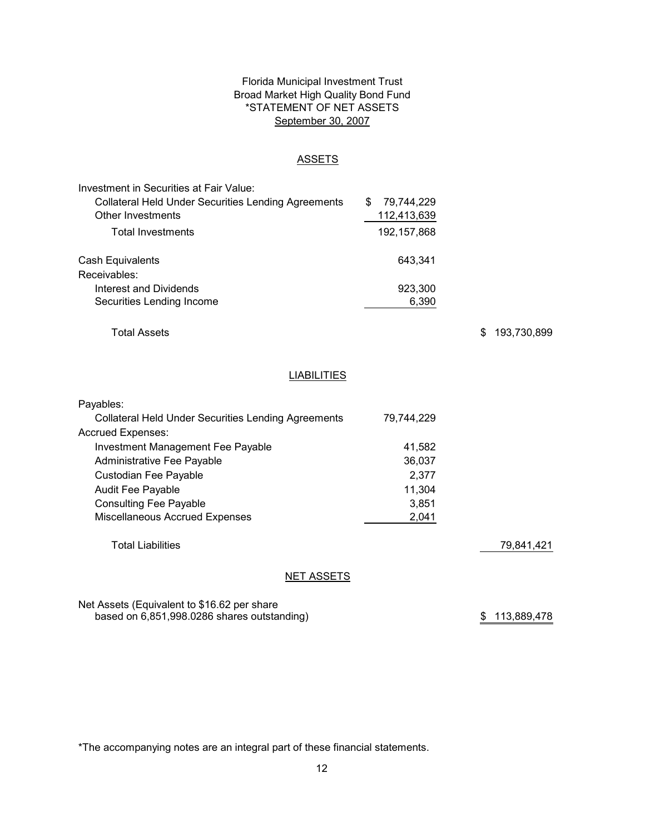# Florida Municipal Investment Trust Broad Market High Quality Bond Fund \*STATEMENT OF NET ASSETS September 30, 2007

### ASSETS

| Investment in Securities at Fair Value:                    |                 |
|------------------------------------------------------------|-----------------|
| <b>Collateral Held Under Securities Lending Agreements</b> | 79,744,229<br>S |
| Other Investments                                          | 112,413,639     |
| Total Investments                                          | 192, 157, 868   |
| Cash Equivalents                                           | 643.341         |
| Receivables:                                               |                 |
| Interest and Dividends                                     | 923,300         |
| Securities Lending Income                                  | 6,390           |

Total Assets

\$ 193,730,899

# **LIABILITIES**

| Payables:                                                  |            |            |
|------------------------------------------------------------|------------|------------|
| <b>Collateral Held Under Securities Lending Agreements</b> | 79,744,229 |            |
| <b>Accrued Expenses:</b>                                   |            |            |
| Investment Management Fee Payable                          | 41,582     |            |
| Administrative Fee Payable                                 | 36.037     |            |
| Custodian Fee Payable                                      | 2,377      |            |
| <b>Audit Fee Payable</b>                                   | 11,304     |            |
| <b>Consulting Fee Payable</b>                              | 3,851      |            |
| Miscellaneous Accrued Expenses                             | 2,041      |            |
|                                                            |            |            |
| Total Liabilities                                          |            | 79.841.421 |
|                                                            |            |            |

# **NET ASSETS**

Net Assets (Equivalent to \$16.62 per share based on 6,851,998.0286 shares outstanding)

\$ 113,889,478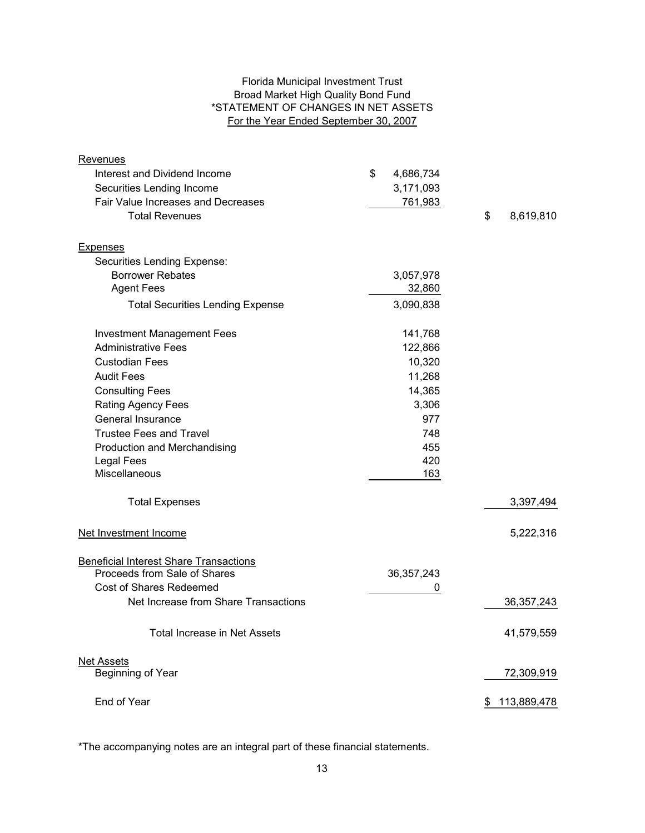# Florida Municipal Investment Trust Broad Market High Quality Bond Fund \*STATEMENT OF CHANGES IN NET ASSETS For the Year Ended September 30, 2007

| <b>Revenues</b>                               |                 |                   |
|-----------------------------------------------|-----------------|-------------------|
| Interest and Dividend Income                  | \$<br>4,686,734 |                   |
| Securities Lending Income                     | 3,171,093       |                   |
| Fair Value Increases and Decreases            | 761,983         |                   |
| <b>Total Revenues</b>                         |                 | \$<br>8,619,810   |
| <b>Expenses</b>                               |                 |                   |
| Securities Lending Expense:                   |                 |                   |
| <b>Borrower Rebates</b>                       | 3,057,978       |                   |
| <b>Agent Fees</b>                             | 32,860          |                   |
| <b>Total Securities Lending Expense</b>       | 3,090,838       |                   |
|                                               |                 |                   |
| <b>Investment Management Fees</b>             | 141,768         |                   |
| <b>Administrative Fees</b>                    | 122,866         |                   |
| <b>Custodian Fees</b>                         | 10,320          |                   |
| <b>Audit Fees</b>                             | 11,268          |                   |
| <b>Consulting Fees</b>                        | 14,365          |                   |
| <b>Rating Agency Fees</b>                     | 3,306           |                   |
| General Insurance                             | 977             |                   |
| <b>Trustee Fees and Travel</b>                | 748             |                   |
| Production and Merchandising                  | 455             |                   |
| <b>Legal Fees</b>                             | 420             |                   |
| Miscellaneous                                 | 163             |                   |
| <b>Total Expenses</b>                         |                 | 3,397,494         |
| Net Investment Income                         |                 | 5,222,316         |
| <b>Beneficial Interest Share Transactions</b> |                 |                   |
| Proceeds from Sale of Shares                  | 36, 357, 243    |                   |
| <b>Cost of Shares Redeemed</b>                | 0               |                   |
| Net Increase from Share Transactions          |                 | 36, 357, 243      |
| <b>Total Increase in Net Assets</b>           |                 | 41,579,559        |
|                                               |                 |                   |
| <b>Net Assets</b>                             |                 |                   |
| Beginning of Year                             |                 | 72,309,919        |
| End of Year                                   |                 | \$<br>113,889,478 |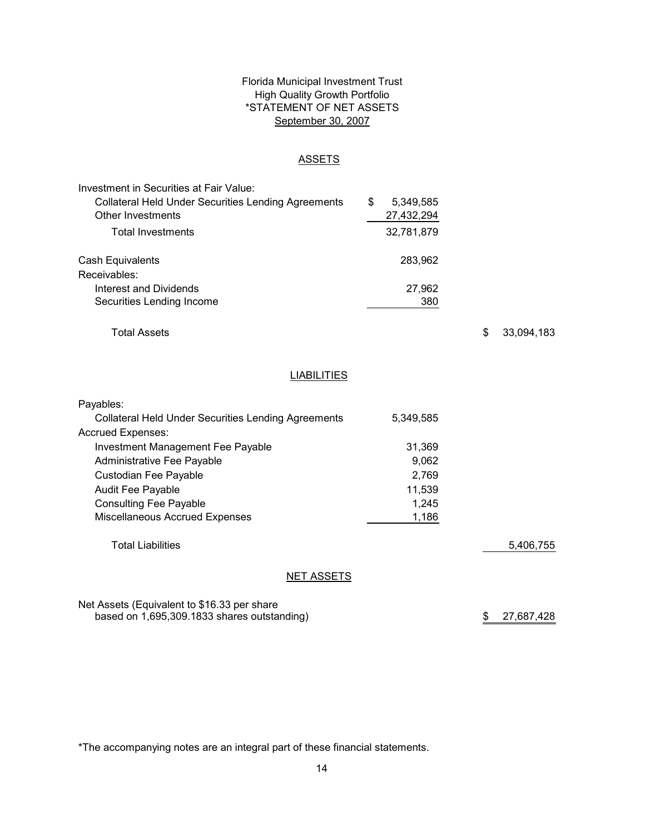# Florida Municipal Investment Trust High Quality Growth Portfolio \*STATEMENT OF NET ASSETS September 30, 2007

### **ASSETS**

| Investment in Securities at Fair Value:                    |   |            |
|------------------------------------------------------------|---|------------|
| <b>Collateral Held Under Securities Lending Agreements</b> | S | 5,349,585  |
| Other Investments                                          |   | 27,432,294 |
| <b>Total Investments</b>                                   |   | 32,781,879 |
| Cash Equivalents                                           |   | 283,962    |
| Receivables:                                               |   |            |
| <b>Interest and Dividends</b>                              |   | 27,962     |
| Securities Lending Income                                  |   | 380        |

Total Assets

\$ 33,094,183

# **LIABILITIES**

| Payables:                                                  |           |           |
|------------------------------------------------------------|-----------|-----------|
| <b>Collateral Held Under Securities Lending Agreements</b> | 5.349.585 |           |
| Accrued Expenses:                                          |           |           |
| Investment Management Fee Payable                          | 31.369    |           |
| Administrative Fee Payable                                 | 9,062     |           |
| Custodian Fee Payable                                      | 2.769     |           |
| Audit Fee Payable                                          | 11,539    |           |
| <b>Consulting Fee Payable</b>                              | 1.245     |           |
| <b>Miscellaneous Accrued Expenses</b>                      | 1,186     |           |
|                                                            |           |           |
| <b>Total Liabilities</b>                                   |           | 5.406.755 |
|                                                            |           |           |
| NET ASSETS                                                 |           |           |

Net Assets (Equivalent to \$16.33 per share based on 1,695,309.1833 shares outstanding)

\$ 27,687,428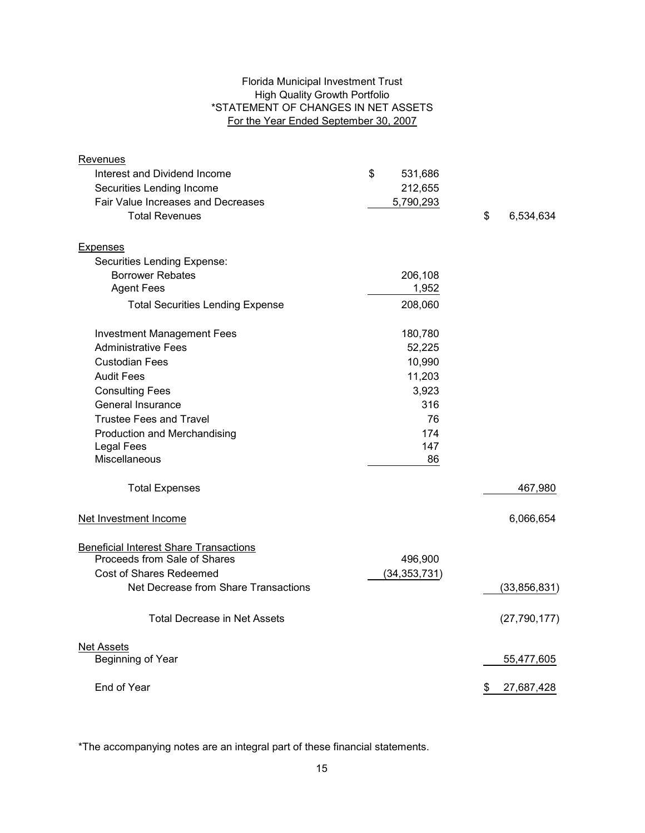# Florida Municipal Investment Trust High Quality Growth Portfolio \*STATEMENT OF CHANGES IN NET ASSETS For the Year Ended September 30, 2007

| Revenues                                      |                |                  |
|-----------------------------------------------|----------------|------------------|
| Interest and Dividend Income                  | \$<br>531,686  |                  |
| Securities Lending Income                     | 212,655        |                  |
| Fair Value Increases and Decreases            | 5,790,293      |                  |
| <b>Total Revenues</b>                         |                | \$<br>6,534,634  |
| Expenses                                      |                |                  |
| Securities Lending Expense:                   |                |                  |
| <b>Borrower Rebates</b>                       | 206,108        |                  |
| <b>Agent Fees</b>                             | 1,952          |                  |
| <b>Total Securities Lending Expense</b>       | 208,060        |                  |
| <b>Investment Management Fees</b>             | 180,780        |                  |
| <b>Administrative Fees</b>                    | 52,225         |                  |
| <b>Custodian Fees</b>                         | 10,990         |                  |
| <b>Audit Fees</b>                             | 11,203         |                  |
| <b>Consulting Fees</b>                        | 3,923          |                  |
| General Insurance                             | 316            |                  |
| <b>Trustee Fees and Travel</b>                | 76             |                  |
| Production and Merchandising                  | 174            |                  |
| <b>Legal Fees</b>                             | 147            |                  |
| <b>Miscellaneous</b>                          | 86             |                  |
| <b>Total Expenses</b>                         |                | 467,980          |
| Net Investment Income                         |                | 6,066,654        |
| <b>Beneficial Interest Share Transactions</b> |                |                  |
| Proceeds from Sale of Shares                  | 496,900        |                  |
| <b>Cost of Shares Redeemed</b>                | (34, 353, 731) |                  |
| Net Decrease from Share Transactions          |                | (33, 856, 831)   |
| <b>Total Decrease in Net Assets</b>           |                | (27, 790, 177)   |
| <b>Net Assets</b>                             |                |                  |
| Beginning of Year                             |                | 55,477,605       |
| End of Year                                   |                | \$<br>27,687,428 |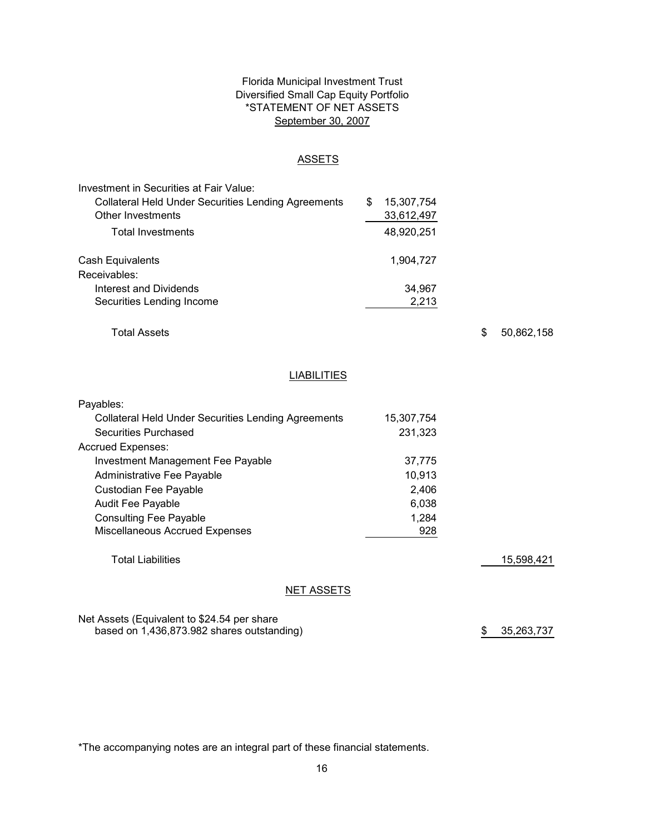# Florida Municipal Investment Trust Diversified Small Cap Equity Portfolio \*STATEMENT OF NET ASSETS September 30, 2007

### ASSETS

| Investment in Securities at Fair Value:                    |   |            |
|------------------------------------------------------------|---|------------|
| <b>Collateral Held Under Securities Lending Agreements</b> | S | 15,307,754 |
| Other Investments                                          |   | 33,612,497 |
| <b>Total Investments</b>                                   |   | 48,920,251 |
| Cash Equivalents                                           |   | 1.904.727  |
| Receivables:                                               |   |            |
| Interest and Dividends                                     |   | 34,967     |
| Securities Lending Income                                  |   | 2,213      |

Total Assets

\$ 50,862,158

# **LIABILITIES**

| Payables:                                                  |            |            |
|------------------------------------------------------------|------------|------------|
| <b>Collateral Held Under Securities Lending Agreements</b> | 15,307,754 |            |
| <b>Securities Purchased</b>                                | 231.323    |            |
| Accrued Expenses:                                          |            |            |
| <b>Investment Management Fee Payable</b>                   | 37,775     |            |
| Administrative Fee Payable                                 | 10,913     |            |
| Custodian Fee Payable                                      | 2,406      |            |
| <b>Audit Fee Payable</b>                                   | 6,038      |            |
| <b>Consulting Fee Payable</b>                              | 1,284      |            |
| <b>Miscellaneous Accrued Expenses</b>                      | 928        |            |
|                                                            |            |            |
| <b>Total Liabilities</b>                                   |            | 15,598,421 |
|                                                            |            |            |
| NET ASSETS                                                 |            |            |

Net Assets (Equivalent to \$24.54 per share based on 1,436,873.982 shares outstanding)

\$ 35,263,737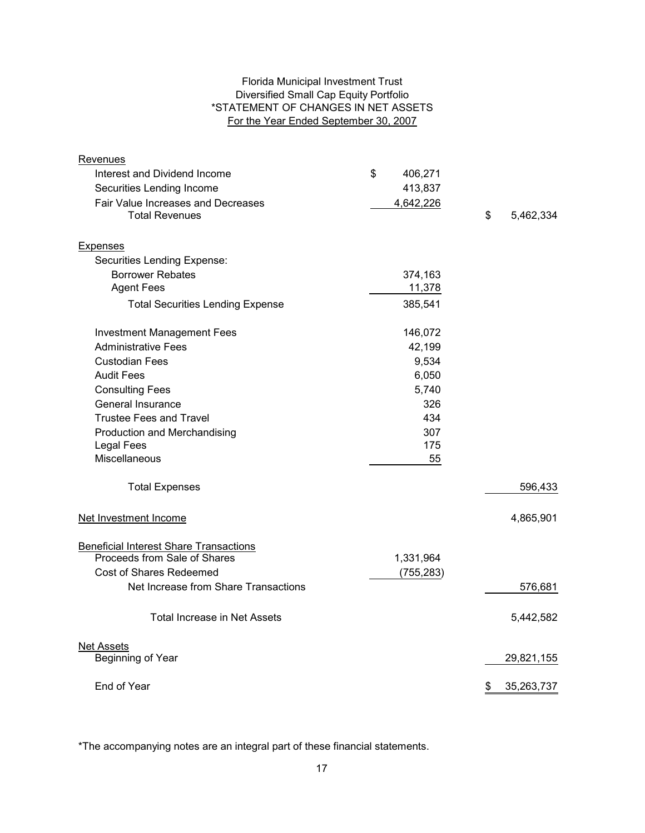# Florida Municipal Investment Trust Diversified Small Cap Equity Portfolio \*STATEMENT OF CHANGES IN NET ASSETS For the Year Ended September 30, 2007

| Revenues                                                    |               |                  |
|-------------------------------------------------------------|---------------|------------------|
| Interest and Dividend Income                                | \$<br>406,271 |                  |
| Securities Lending Income                                   | 413,837       |                  |
| Fair Value Increases and Decreases<br><b>Total Revenues</b> | 4,642,226     | \$<br>5,462,334  |
| <b>Expenses</b>                                             |               |                  |
| Securities Lending Expense:                                 |               |                  |
| <b>Borrower Rebates</b>                                     | 374,163       |                  |
| <b>Agent Fees</b>                                           | 11,378        |                  |
| <b>Total Securities Lending Expense</b>                     | 385,541       |                  |
| <b>Investment Management Fees</b>                           | 146,072       |                  |
| <b>Administrative Fees</b>                                  | 42,199        |                  |
| <b>Custodian Fees</b>                                       | 9,534         |                  |
| <b>Audit Fees</b>                                           | 6,050         |                  |
| <b>Consulting Fees</b>                                      | 5,740         |                  |
| General Insurance                                           | 326           |                  |
| <b>Trustee Fees and Travel</b>                              | 434           |                  |
| Production and Merchandising                                | 307           |                  |
| <b>Legal Fees</b>                                           | 175           |                  |
| Miscellaneous                                               | 55            |                  |
| <b>Total Expenses</b>                                       |               | 596,433          |
| Net Investment Income                                       |               | 4,865,901        |
| <b>Beneficial Interest Share Transactions</b>               |               |                  |
| Proceeds from Sale of Shares                                | 1,331,964     |                  |
| Cost of Shares Redeemed                                     | (755, 283)    |                  |
| Net Increase from Share Transactions                        |               | 576,681          |
| <b>Total Increase in Net Assets</b>                         |               | 5,442,582        |
| <b>Net Assets</b>                                           |               |                  |
| Beginning of Year                                           |               | 29,821,155       |
| End of Year                                                 |               | 35,263,737<br>\$ |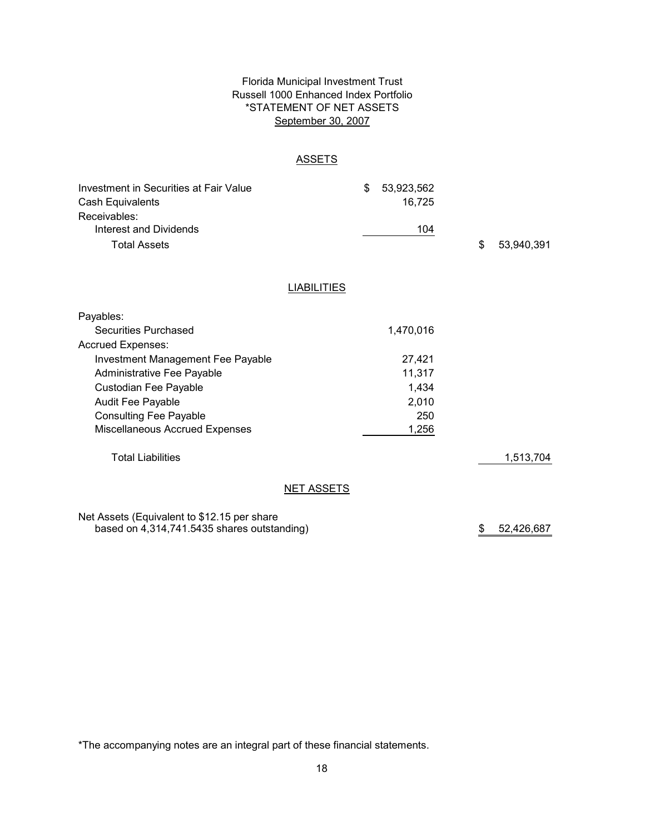# Florida Municipal Investment Trust Russell 1000 Enhanced Index Portfolio \*STATEMENT OF NET ASSETS September 30, 2007

#### **ASSETS**

| Investment in Securities at Fair Value<br>Cash Equivalents<br>Receivables:<br><b>Interest and Dividends</b><br><b>Total Assets</b> |                    | \$<br>53,923,562<br>16,725<br>104 | \$ | 53,940,391 |
|------------------------------------------------------------------------------------------------------------------------------------|--------------------|-----------------------------------|----|------------|
|                                                                                                                                    | <b>LIABILITIES</b> |                                   |    |            |
| Payables:                                                                                                                          |                    |                                   |    |            |
| <b>Securities Purchased</b>                                                                                                        |                    | 1,470,016                         |    |            |
| Accrued Expenses:                                                                                                                  |                    |                                   |    |            |
| <b>Investment Management Fee Payable</b>                                                                                           |                    | 27,421                            |    |            |
| Administrative Fee Payable                                                                                                         |                    | 11,317                            |    |            |
| Custodian Fee Payable                                                                                                              |                    | 1,434                             |    |            |
| Audit Fee Payable                                                                                                                  |                    | 2,010                             |    |            |
| <b>Consulting Fee Payable</b>                                                                                                      |                    | 250                               |    |            |
| Miscellaneous Accrued Expenses                                                                                                     |                    | 1,256                             |    |            |
| <b>Total Liabilities</b>                                                                                                           |                    |                                   |    | 1,513,704  |

# NET ASSETS

Net Assets (Equivalent to \$12.15 per share based on 4,314,741.5435 shares outstanding)

\$ 52,426,687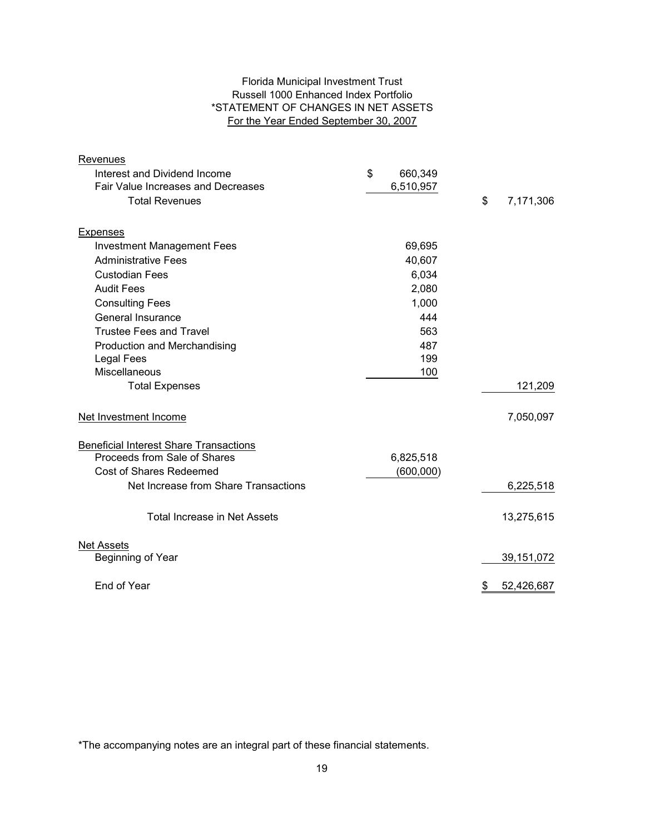# Florida Municipal Investment Trust Russell 1000 Enhanced Index Portfolio \*STATEMENT OF CHANGES IN NET ASSETS For the Year Ended September 30, 2007

| Revenues                                      |               |                  |
|-----------------------------------------------|---------------|------------------|
| Interest and Dividend Income                  | \$<br>660,349 |                  |
| <b>Fair Value Increases and Decreases</b>     | 6,510,957     |                  |
| <b>Total Revenues</b>                         |               | \$<br>7,171,306  |
|                                               |               |                  |
| Expenses                                      |               |                  |
| <b>Investment Management Fees</b>             | 69,695        |                  |
| <b>Administrative Fees</b>                    | 40,607        |                  |
| <b>Custodian Fees</b>                         | 6,034         |                  |
| <b>Audit Fees</b>                             | 2,080         |                  |
| <b>Consulting Fees</b>                        | 1,000         |                  |
| General Insurance                             | 444           |                  |
| <b>Trustee Fees and Travel</b>                | 563           |                  |
| Production and Merchandising                  | 487           |                  |
| <b>Legal Fees</b>                             | 199           |                  |
| Miscellaneous                                 | 100           |                  |
| <b>Total Expenses</b>                         |               | 121,209          |
| Net Investment Income                         |               | 7,050,097        |
| <b>Beneficial Interest Share Transactions</b> |               |                  |
| Proceeds from Sale of Shares                  | 6,825,518     |                  |
| <b>Cost of Shares Redeemed</b>                | (600,000)     |                  |
| Net Increase from Share Transactions          |               | 6,225,518        |
| <b>Total Increase in Net Assets</b>           |               | 13,275,615       |
| <b>Net Assets</b>                             |               |                  |
| Beginning of Year                             |               | 39,151,072       |
| End of Year                                   |               | 52,426,687<br>\$ |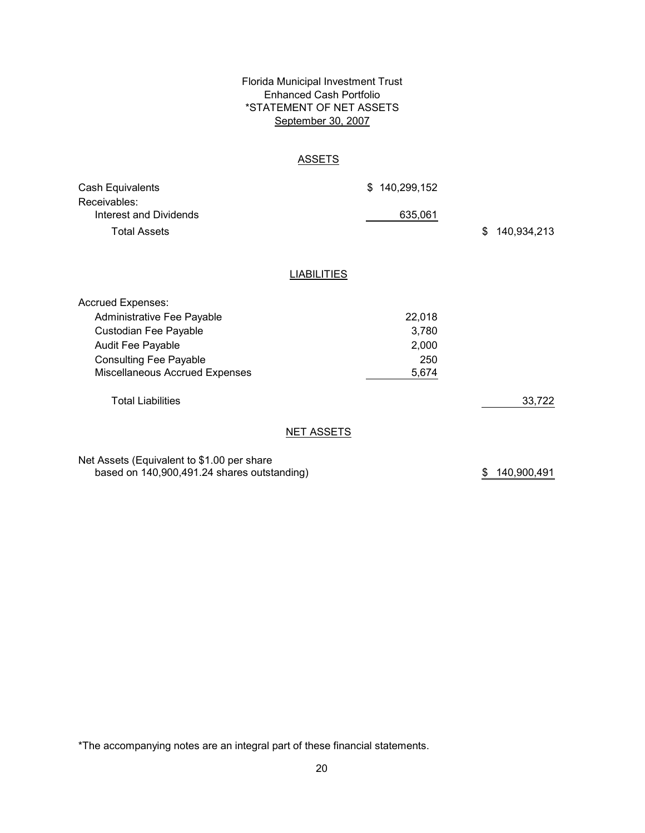# Florida Municipal Investment Trust Enhanced Cash Portfolio \*STATEMENT OF NET ASSETS September 30, 2007

## ASSETS

| Cash Equivalents<br>Receivables:<br>Interest and Dividends<br><b>Total Assets</b>                                                                                       |                    | \$140,299,152<br>635,061                 | \$<br>140,934,213 |
|-------------------------------------------------------------------------------------------------------------------------------------------------------------------------|--------------------|------------------------------------------|-------------------|
|                                                                                                                                                                         | <b>LIABILITIES</b> |                                          |                   |
| <b>Accrued Expenses:</b><br>Administrative Fee Payable<br>Custodian Fee Payable<br>Audit Fee Payable<br><b>Consulting Fee Payable</b><br>Miscellaneous Accrued Expenses |                    | 22,018<br>3,780<br>2,000<br>250<br>5,674 |                   |
| <b>Total Liabilities</b>                                                                                                                                                |                    |                                          | 33,722            |
|                                                                                                                                                                         | <b>NET ASSETS</b>  |                                          |                   |
| Net Assets (Equivalent to \$1.00 per share                                                                                                                              |                    |                                          |                   |

based on 140,900,491.24 shares outstanding)

\$ 140,900,491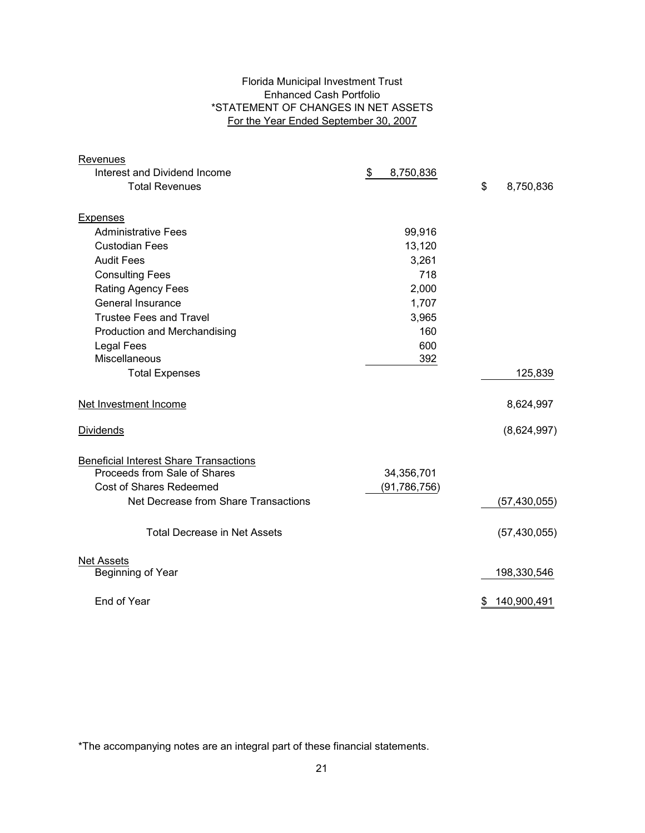# Florida Municipal Investment Trust Enhanced Cash Portfolio \*STATEMENT OF CHANGES IN NET ASSETS For the Year Ended September 30, 2007

| Revenues                                      |                 |                   |
|-----------------------------------------------|-----------------|-------------------|
| Interest and Dividend Income                  | \$<br>8,750,836 |                   |
| <b>Total Revenues</b>                         |                 | \$<br>8,750,836   |
| <b>Expenses</b>                               |                 |                   |
| <b>Administrative Fees</b>                    | 99,916          |                   |
| <b>Custodian Fees</b>                         | 13,120          |                   |
| <b>Audit Fees</b>                             | 3,261           |                   |
| <b>Consulting Fees</b>                        | 718             |                   |
| <b>Rating Agency Fees</b>                     | 2,000           |                   |
| General Insurance                             | 1,707           |                   |
| <b>Trustee Fees and Travel</b>                | 3,965           |                   |
| Production and Merchandising                  | 160             |                   |
| <b>Legal Fees</b>                             | 600             |                   |
| Miscellaneous                                 | 392             |                   |
| <b>Total Expenses</b>                         |                 | 125,839           |
| Net Investment Income                         |                 | 8,624,997         |
| <b>Dividends</b>                              |                 | (8,624,997)       |
| <b>Beneficial Interest Share Transactions</b> |                 |                   |
| Proceeds from Sale of Shares                  | 34,356,701      |                   |
| Cost of Shares Redeemed                       | (91, 786, 756)  |                   |
| Net Decrease from Share Transactions          |                 | (57, 430, 055)    |
| <b>Total Decrease in Net Assets</b>           |                 | (57, 430, 055)    |
| <b>Net Assets</b>                             |                 |                   |
| Beginning of Year                             |                 | 198,330,546       |
| End of Year                                   |                 | 140,900,491<br>\$ |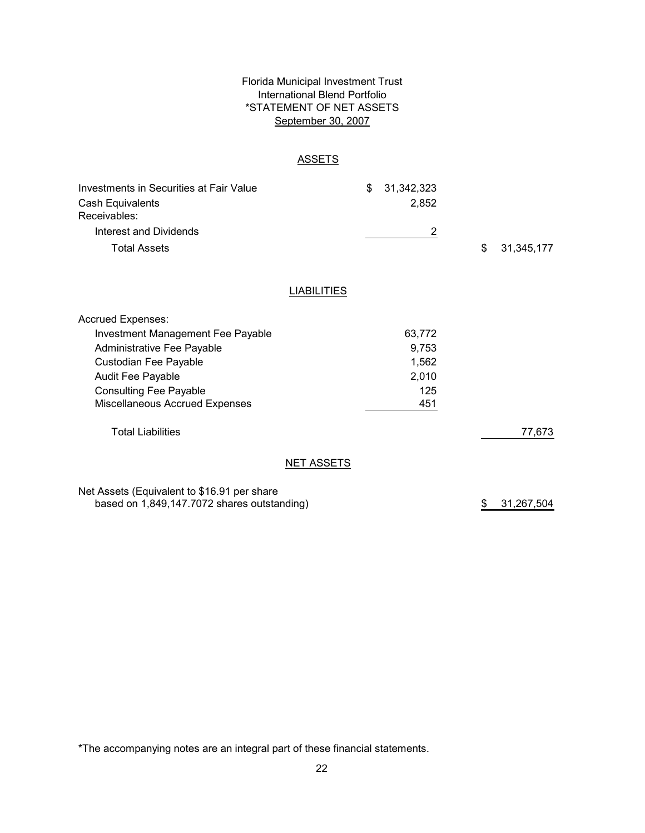# Florida Municipal Investment Trust International Blend Portfolio \*STATEMENT OF NET ASSETS September 30, 2007

### **ASSETS**

| Investments in Securities at Fair Value<br>Cash Equivalents<br>Receivables: |                    | \$<br>31,342,323<br>2,852 |                  |
|-----------------------------------------------------------------------------|--------------------|---------------------------|------------------|
| Interest and Dividends                                                      |                    | 2                         |                  |
| <b>Total Assets</b>                                                         |                    |                           | \$<br>31,345,177 |
|                                                                             | <b>LIABILITIES</b> |                           |                  |
| <b>Accrued Expenses:</b>                                                    |                    |                           |                  |
| Investment Management Fee Payable                                           |                    | 63,772                    |                  |
| Administrative Fee Payable                                                  |                    | 9,753                     |                  |
| Custodian Fee Payable                                                       |                    | 1,562                     |                  |

**NET ASSETS** 

\$ 31,267,504

77,673

2,010 125

451

\*The accompanying notes are an integral part of these financial statements.

Audit Fee Payable Consulting Fee Payable

Total Liabilities

Miscellaneous Accrued Expenses

Net Assets (Equivalent to \$16.91 per share

based on 1,849,147.7072 shares outstanding)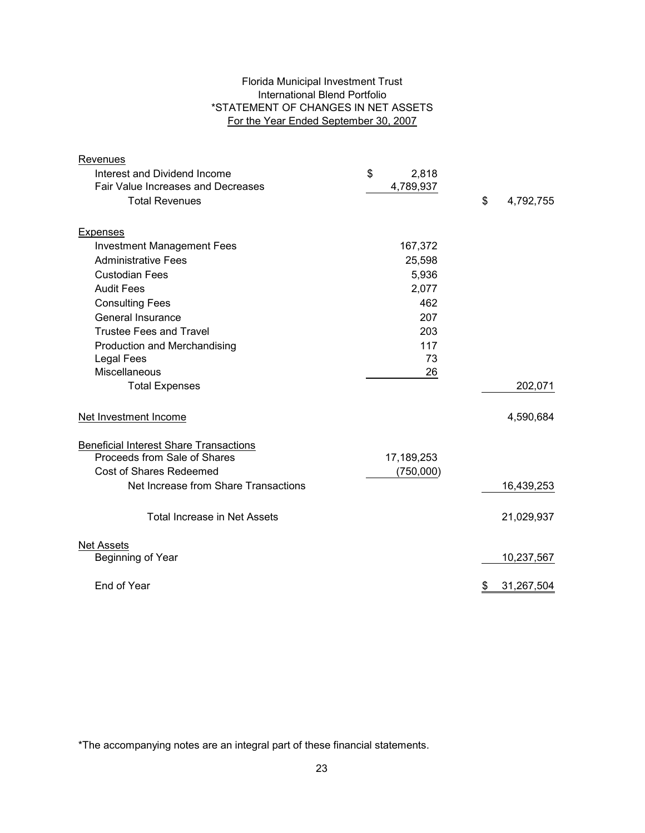# Florida Municipal Investment Trust International Blend Portfolio \*STATEMENT OF CHANGES IN NET ASSETS For the Year Ended September 30, 2007

| Revenues                                      |             |                  |
|-----------------------------------------------|-------------|------------------|
| Interest and Dividend Income                  | \$<br>2,818 |                  |
| Fair Value Increases and Decreases            | 4,789,937   |                  |
| <b>Total Revenues</b>                         |             | \$<br>4,792,755  |
|                                               |             |                  |
| <b>Expenses</b>                               |             |                  |
| <b>Investment Management Fees</b>             | 167,372     |                  |
| <b>Administrative Fees</b>                    | 25,598      |                  |
| <b>Custodian Fees</b>                         | 5,936       |                  |
| <b>Audit Fees</b>                             | 2,077       |                  |
| <b>Consulting Fees</b>                        | 462         |                  |
| General Insurance                             | 207         |                  |
| <b>Trustee Fees and Travel</b>                | 203         |                  |
| Production and Merchandising                  | 117         |                  |
| <b>Legal Fees</b>                             | 73          |                  |
| Miscellaneous                                 | 26          |                  |
| <b>Total Expenses</b>                         |             | 202,071          |
| Net Investment Income                         |             | 4,590,684        |
| <b>Beneficial Interest Share Transactions</b> |             |                  |
| Proceeds from Sale of Shares                  | 17,189,253  |                  |
| <b>Cost of Shares Redeemed</b>                | (750,000)   |                  |
| Net Increase from Share Transactions          |             | 16,439,253       |
| <b>Total Increase in Net Assets</b>           |             | 21,029,937       |
| <b>Net Assets</b>                             |             |                  |
| Beginning of Year                             |             | 10,237,567       |
| End of Year                                   |             | 31,267,504<br>\$ |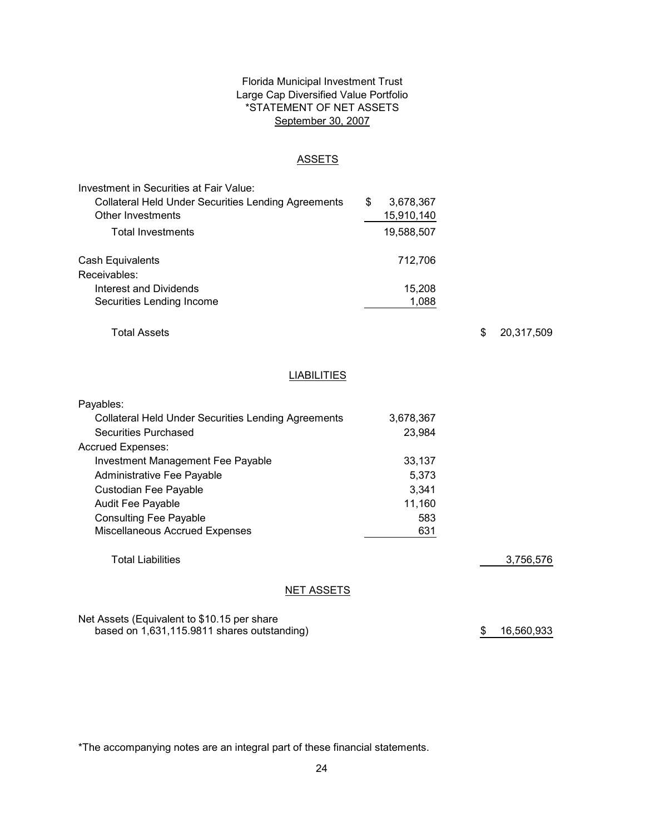# Florida Municipal Investment Trust Large Cap Diversified Value Portfolio \*STATEMENT OF NET ASSETS September 30, 2007

#### ASSETS

| Investment in Securities at Fair Value:                    |   |            |
|------------------------------------------------------------|---|------------|
| <b>Collateral Held Under Securities Lending Agreements</b> | S | 3,678,367  |
| Other Investments                                          |   | 15,910,140 |
| <b>Total Investments</b>                                   |   | 19,588,507 |
| Cash Equivalents                                           |   | 712,706    |
| Receivables:                                               |   |            |
| Interest and Dividends                                     |   | 15,208     |
| Securities Lending Income                                  |   | 1.088      |

Total Assets

\$ 20,317,509

# **LIABILITIES**

| Payables:                                           |           |           |
|-----------------------------------------------------|-----------|-----------|
| Collateral Held Under Securities Lending Agreements | 3,678,367 |           |
| Securities Purchased                                | 23.984    |           |
| <b>Accrued Expenses:</b>                            |           |           |
| Investment Management Fee Payable                   | 33.137    |           |
| Administrative Fee Payable                          | 5,373     |           |
| Custodian Fee Payable                               | 3,341     |           |
| <b>Audit Fee Payable</b>                            | 11,160    |           |
| <b>Consulting Fee Payable</b>                       | 583       |           |
| Miscellaneous Accrued Expenses                      | 631       |           |
| <b>Total Liabilities</b>                            |           | 3,756,576 |
| <b>NET ASSETS</b>                                   |           |           |

Net Assets (Equivalent to \$10.15 per share based on 1,631,115.9811 shares outstanding)

\$ 16,560,933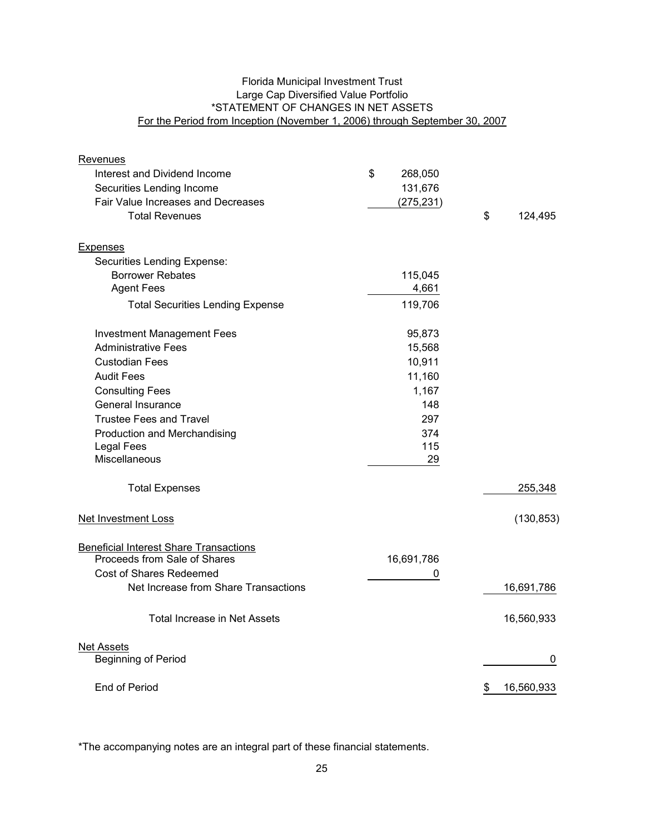# Florida Municipal Investment Trust Large Cap Diversified Value Portfolio \*STATEMENT OF CHANGES IN NET ASSETS For the Period from Inception (November 1, 2006) through September 30, 2007

| Revenues                                      |               |                  |
|-----------------------------------------------|---------------|------------------|
| Interest and Dividend Income                  | \$<br>268,050 |                  |
| Securities Lending Income                     | 131,676       |                  |
| Fair Value Increases and Decreases            | (275, 231)    |                  |
| <b>Total Revenues</b>                         |               | \$<br>124,495    |
| Expenses                                      |               |                  |
| Securities Lending Expense:                   |               |                  |
| <b>Borrower Rebates</b>                       | 115,045       |                  |
| <b>Agent Fees</b>                             | 4,661         |                  |
| <b>Total Securities Lending Expense</b>       | 119,706       |                  |
| <b>Investment Management Fees</b>             | 95,873        |                  |
| <b>Administrative Fees</b>                    | 15,568        |                  |
| <b>Custodian Fees</b>                         | 10,911        |                  |
| <b>Audit Fees</b>                             | 11,160        |                  |
| <b>Consulting Fees</b>                        | 1,167         |                  |
| General Insurance                             | 148           |                  |
| <b>Trustee Fees and Travel</b>                | 297           |                  |
| Production and Merchandising                  | 374           |                  |
| <b>Legal Fees</b>                             | 115           |                  |
| Miscellaneous                                 | 29            |                  |
| <b>Total Expenses</b>                         |               | 255,348          |
| Net Investment Loss                           |               | (130, 853)       |
| <b>Beneficial Interest Share Transactions</b> |               |                  |
| Proceeds from Sale of Shares                  | 16,691,786    |                  |
| Cost of Shares Redeemed                       | 0             |                  |
| Net Increase from Share Transactions          |               | 16,691,786       |
| <b>Total Increase in Net Assets</b>           |               | 16,560,933       |
| <b>Net Assets</b>                             |               |                  |
| <b>Beginning of Period</b>                    |               | 0                |
| End of Period                                 |               | 16,560,933<br>\$ |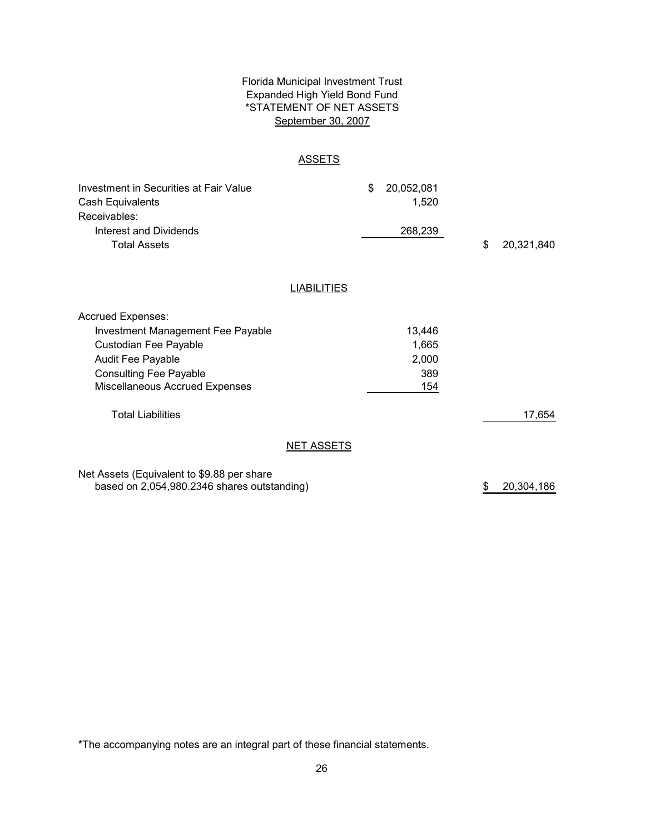# Florida Municipal Investment Trust Expanded High Yield Bond Fund \*STATEMENT OF NET ASSETS September 30, 2007

#### **ASSETS**

| Investment in Securities at Fair Value<br>Cash Equivalents<br>Receivables:<br>Interest and Dividends<br><b>Total Assets</b>                                                    |                    | \$<br>20,052,081<br>1,520<br>268,239   | \$ | 20,321,840 |
|--------------------------------------------------------------------------------------------------------------------------------------------------------------------------------|--------------------|----------------------------------------|----|------------|
|                                                                                                                                                                                | <b>LIABILITIES</b> |                                        |    |            |
| <b>Accrued Expenses:</b><br>Investment Management Fee Payable<br>Custodian Fee Payable<br>Audit Fee Payable<br><b>Consulting Fee Payable</b><br>Miscellaneous Accrued Expenses |                    | 13,446<br>1,665<br>2,000<br>389<br>154 |    |            |
| <b>Total Liabilities</b>                                                                                                                                                       |                    |                                        |    | 17,654     |
|                                                                                                                                                                                | <b>NET ASSETS</b>  |                                        |    |            |

Net Assets (Equivalent to \$9.88 per share based on 2,054,980.2346 shares outstanding)

\$ 20,304,186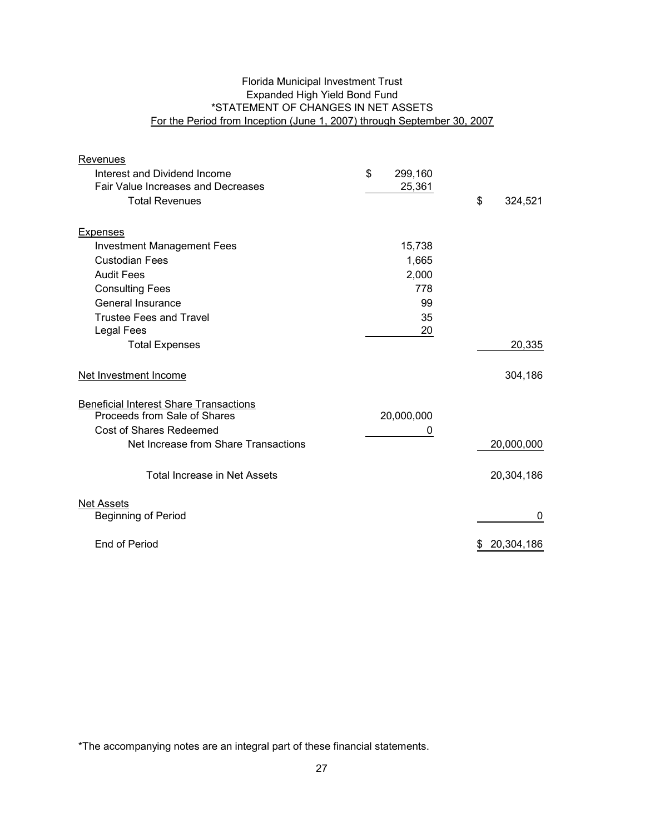# Florida Municipal Investment Trust Expanded High Yield Bond Fund \*STATEMENT OF CHANGES IN NET ASSETS For the Period from Inception (June 1, 2007) through September 30, 2007

| Revenues                                                                      |               |               |
|-------------------------------------------------------------------------------|---------------|---------------|
| Interest and Dividend Income                                                  | \$<br>299,160 |               |
| Fair Value Increases and Decreases                                            | 25,361        |               |
| <b>Total Revenues</b>                                                         |               | \$<br>324,521 |
|                                                                               |               |               |
| Expenses                                                                      |               |               |
| <b>Investment Management Fees</b>                                             | 15,738        |               |
| <b>Custodian Fees</b>                                                         | 1,665         |               |
| <b>Audit Fees</b>                                                             | 2,000         |               |
| <b>Consulting Fees</b>                                                        | 778           |               |
| General Insurance                                                             | 99            |               |
| <b>Trustee Fees and Travel</b>                                                | 35            |               |
| <b>Legal Fees</b>                                                             | 20            |               |
| <b>Total Expenses</b>                                                         |               | 20,335        |
|                                                                               |               |               |
| Net Investment Income                                                         |               | 304,186       |
|                                                                               |               |               |
| <b>Beneficial Interest Share Transactions</b><br>Proceeds from Sale of Shares |               |               |
| Cost of Shares Redeemed                                                       | 20,000,000    |               |
| Net Increase from Share Transactions                                          | 0             |               |
|                                                                               |               | 20,000,000    |
| Total Increase in Net Assets                                                  |               | 20,304,186    |
|                                                                               |               |               |
| <b>Net Assets</b>                                                             |               |               |
| <b>Beginning of Period</b>                                                    |               | 0             |
| End of Period                                                                 |               | 20,304,186    |
|                                                                               |               |               |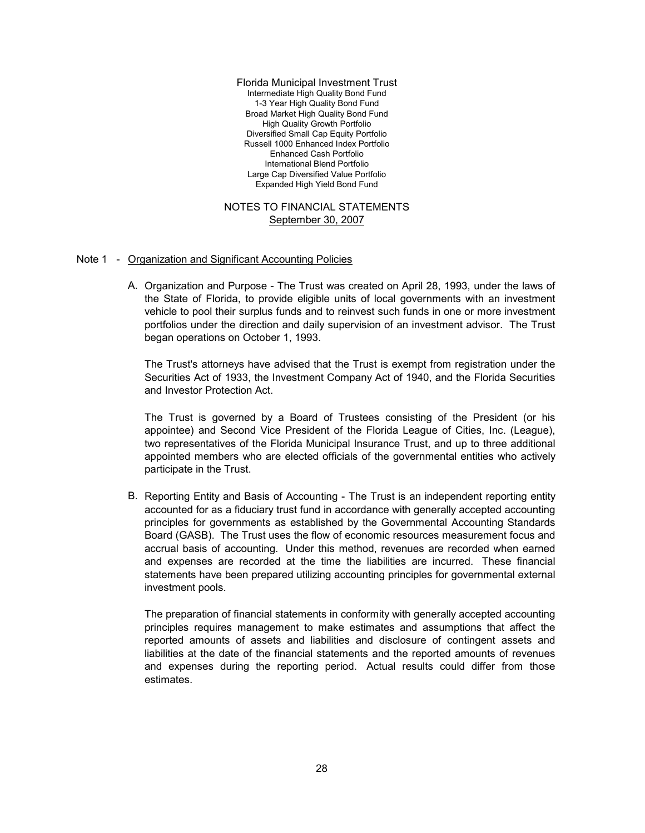Large Cap Diversified Value Portfolio Expanded High Yield Bond Fund International Blend Portfolio High Quality Growth Portfolio Diversified Small Cap Equity Portfolio Russell 1000 Enhanced Index Portfolio Enhanced Cash Portfolio Florida Municipal Investment Trust Intermediate High Quality Bond Fund 1-3 Year High Quality Bond Fund Broad Market High Quality Bond Fund

# NOTES TO FINANCIAL STATEMENTS September 30, 2007

#### Note 1 - Organization and Significant Accounting Policies

A. Organization and Purpose - The Trust was created on April 28, 1993, under the laws of the State of Florida, to provide eligible units of local governments with an investment vehicle to pool their surplus funds and to reinvest such funds in one or more investment portfolios under the direction and daily supervision of an investment advisor. The Trust began operations on October 1, 1993.

The Trust's attorneys have advised that the Trust is exempt from registration under the Securities Act of 1933, the Investment Company Act of 1940, and the Florida Securities and Investor Protection Act.

The Trust is governed by a Board of Trustees consisting of the President (or his appointee) and Second Vice President of the Florida League of Cities, Inc. (League), two representatives of the Florida Municipal Insurance Trust, and up to three additional appointed members who are elected officials of the governmental entities who actively participate in the Trust.

B. Reporting Entity and Basis of Accounting - The Trust is an independent reporting entity accounted for as a fiduciary trust fund in accordance with generally accepted accounting principles for governments as established by the Governmental Accounting Standards Board (GASB). The Trust uses the flow of economic resources measurement focus and accrual basis of accounting. Under this method, revenues are recorded when earned and expenses are recorded at the time the liabilities are incurred. These financial statements have been prepared utilizing accounting principles for governmental external investment pools.

The preparation of financial statements in conformity with generally accepted accounting principles requires management to make estimates and assumptions that affect the reported amounts of assets and liabilities and disclosure of contingent assets and liabilities at the date of the financial statements and the reported amounts of revenues and expenses during the reporting period. Actual results could differ from those estimates.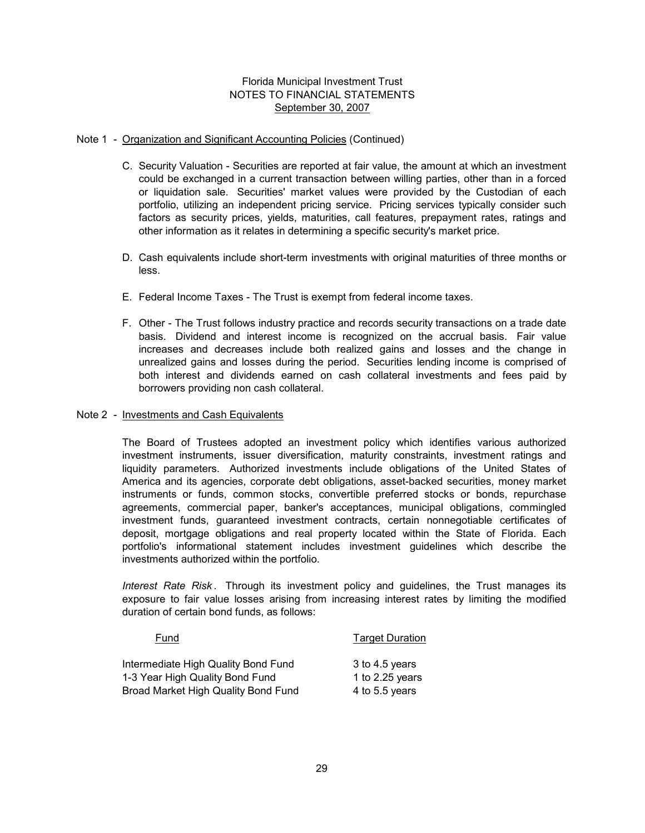### Note 1 - Organization and Significant Accounting Policies (Continued)

- C. Security Valuation Securities are reported at fair value, the amount at which an investment could be exchanged in a current transaction between willing parties, other than in a forced or liquidation sale. Securities' market values were provided by the Custodian of each portfolio, utilizing an independent pricing service. Pricing services typically consider such factors as security prices, yields, maturities, call features, prepayment rates, ratings and other information as it relates in determining a specific security's market price.
- D. Cash equivalents include short-term investments with original maturities of three months or less.
- E. Federal Income Taxes The Trust is exempt from federal income taxes.
- F. Other The Trust follows industry practice and records security transactions on a trade date basis. Dividend and interest income is recognized on the accrual basis. Fair value increases and decreases include both realized gains and losses and the change in unrealized gains and losses during the period. Securities lending income is comprised of both interest and dividends earned on cash collateral investments and fees paid by borrowers providing non cash collateral.

### Note 2 - Investments and Cash Equivalents

The Board of Trustees adopted an investment policy which identifies various authorized investment instruments, issuer diversification, maturity constraints, investment ratings and liquidity parameters. Authorized investments include obligations of the United States of America and its agencies, corporate debt obligations, asset-backed securities, money market instruments or funds, common stocks, convertible preferred stocks or bonds, repurchase agreements, commercial paper, banker's acceptances, municipal obligations, commingled investment funds, guaranteed investment contracts, certain nonnegotiable certificates of deposit, mortgage obligations and real property located within the State of Florida. Each portfolio's informational statement includes investment guidelines which describe the investments authorized within the portfolio.

*Interest Rate Risk* . Through its investment policy and guidelines, the Trust manages its exposure to fair value losses arising from increasing interest rates by limiting the modified duration of certain bond funds, as follows:

| Fund                                | <b>Target Duration</b> |
|-------------------------------------|------------------------|
| Intermediate High Quality Bond Fund | 3 to 4.5 years         |
| 1-3 Year High Quality Bond Fund     | 1 to $2.25$ years      |
| Broad Market High Quality Bond Fund | 4 to 5.5 years         |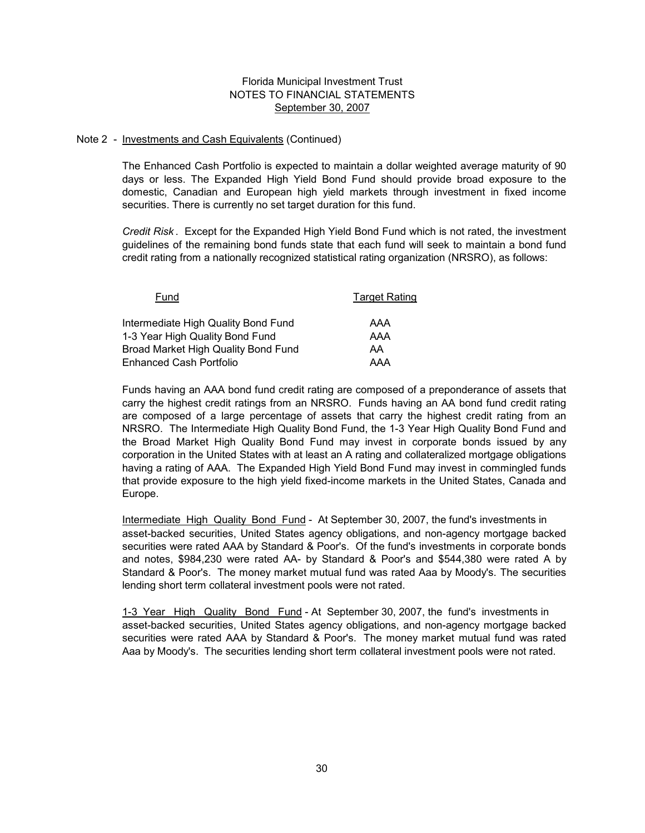#### Note 2 - Investments and Cash Equivalents (Continued)

The Enhanced Cash Portfolio is expected to maintain a dollar weighted average maturity of 90 days or less. The Expanded High Yield Bond Fund should provide broad exposure to the domestic, Canadian and European high yield markets through investment in fixed income securities. There is currently no set target duration for this fund.

*Credit Risk* . Except for the Expanded High Yield Bond Fund which is not rated, the investment guidelines of the remaining bond funds state that each fund will seek to maintain a bond fund credit rating from a nationally recognized statistical rating organization (NRSRO), as follows:

| Fund                                | <b>Target Rating</b> |  |  |
|-------------------------------------|----------------------|--|--|
| Intermediate High Quality Bond Fund | AAA                  |  |  |
| 1-3 Year High Quality Bond Fund     | AAA                  |  |  |
| Broad Market High Quality Bond Fund | AA                   |  |  |
| <b>Enhanced Cash Portfolio</b>      | AAA                  |  |  |

Funds having an AAA bond fund credit rating are composed of a preponderance of assets that carry the highest credit ratings from an NRSRO. Funds having an AA bond fund credit rating are composed of a large percentage of assets that carry the highest credit rating from an NRSRO. The Intermediate High Quality Bond Fund, the 1-3 Year High Quality Bond Fund and the Broad Market High Quality Bond Fund may invest in corporate bonds issued by any corporation in the United States with at least an A rating and collateralized mortgage obligations having a rating of AAA. The Expanded High Yield Bond Fund may invest in commingled funds that provide exposure to the high yield fixed-income markets in the United States, Canada and Europe.

Intermediate High Quality Bond Fund - At September 30, 2007, the fund's investments in asset-backed securities, United States agency obligations, and non-agency mortgage backed securities were rated AAA by Standard & Poor's. Of the fund's investments in corporate bonds and notes, \$984,230 were rated AA- by Standard & Poor's and \$544,380 were rated A by Standard & Poor's. The money market mutual fund was rated Aaa by Moody's. The securities lending short term collateral investment pools were not rated.

1-3 Year High Quality Bond Fund - At September 30, 2007, the fund's investments in asset-backed securities, United States agency obligations, and non-agency mortgage backed securities were rated AAA by Standard & Poor's. The money market mutual fund was rated Aaa by Moody's. The securities lending short term collateral investment pools were not rated.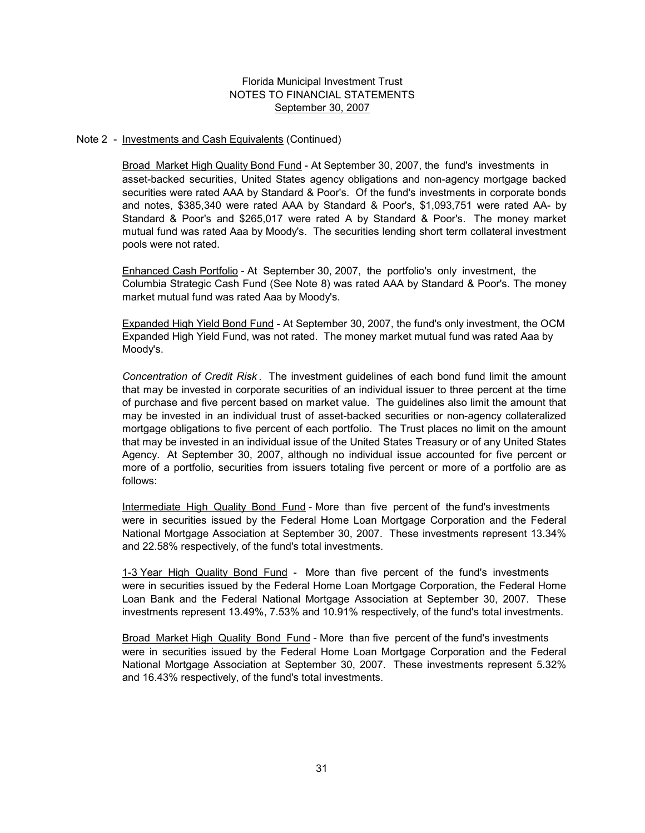#### Note 2 - Investments and Cash Equivalents (Continued)

Broad Market High Quality Bond Fund - At September 30, 2007, the fund's investments in asset-backed securities, United States agency obligations and non-agency mortgage backed securities were rated AAA by Standard & Poor's. Of the fund's investments in corporate bonds and notes, \$385,340 were rated AAA by Standard & Poor's, \$1,093,751 were rated AA- by Standard & Poor's and \$265,017 were rated A by Standard & Poor's. The money market mutual fund was rated Aaa by Moody's. The securities lending short term collateral investment pools were not rated.

Columbia Strategic Cash Fund (See Note 8) was rated AAA by Standard & Poor's. The money market mutual fund was rated Aaa by Moody's. Enhanced Cash Portfolio - At September 30, 2007, the portfolio's only investment, the

Expanded High Yield Bond Fund - At September 30, 2007, the fund's only investment, the OCM Expanded High Yield Fund, was not rated. The money market mutual fund was rated Aaa by Moody's.

*Concentration of Credit Risk* . The investment guidelines of each bond fund limit the amount that may be invested in corporate securities of an individual issuer to three percent at the time of purchase and five percent based on market value. The guidelines also limit the amount that may be invested in an individual trust of asset-backed securities or non-agency collateralized mortgage obligations to five percent of each portfolio. The Trust places no limit on the amount that may be invested in an individual issue of the United States Treasury or of any United States Agency. At September 30, 2007, although no individual issue accounted for five percent or more of a portfolio, securities from issuers totaling five percent or more of a portfolio are as follows:

Intermediate High Quality Bond Fund - More than five percent of the fund's investments were in securities issued by the Federal Home Loan Mortgage Corporation and the Federal National Mortgage Association at September 30, 2007. These investments represent 13.34% and 22.58% respectively, of the fund's total investments.

1-3 Year High Quality Bond Fund - More than five percent of the fund's investments were in securities issued by the Federal Home Loan Mortgage Corporation, the Federal Home Loan Bank and the Federal National Mortgage Association at September 30, 2007. These investments represent 13.49%, 7.53% and 10.91% respectively, of the fund's total investments.

Broad Market High Quality Bond Fund - More than five percent of the fund's investments were in securities issued by the Federal Home Loan Mortgage Corporation and the Federal National Mortgage Association at September 30, 2007. These investments represent 5.32% and 16.43% respectively, of the fund's total investments.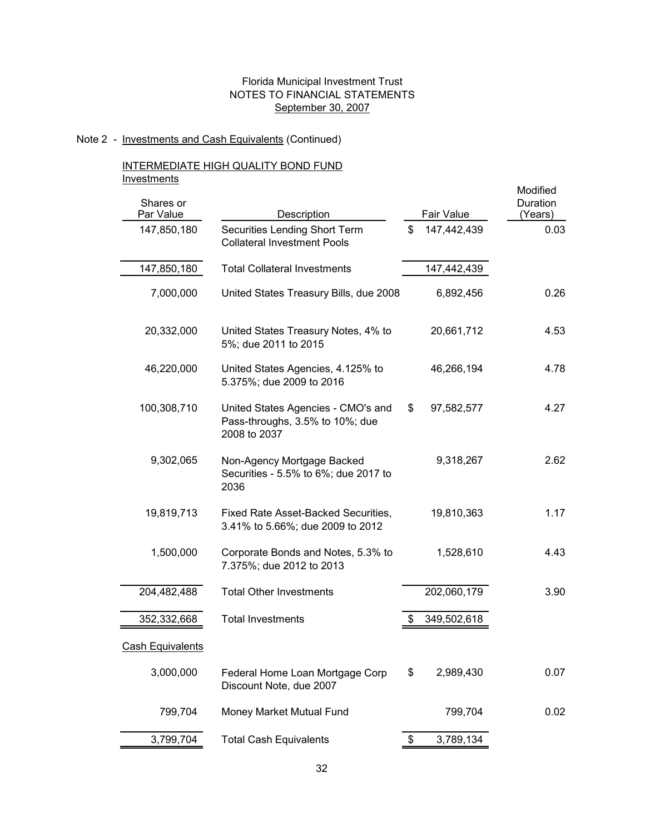# Note 2 - Investments and Cash Equivalents (Continued)

### INTERMEDIATE HIGH QUALITY BOND FUND **Investments**

|                         |                                                                                       |                   | Modified            |
|-------------------------|---------------------------------------------------------------------------------------|-------------------|---------------------|
| Shares or<br>Par Value  | Description                                                                           | Fair Value        | Duration<br>(Years) |
| 147,850,180             | Securities Lending Short Term<br><b>Collateral Investment Pools</b>                   | \$<br>147,442,439 | 0.03                |
| 147,850,180             | <b>Total Collateral Investments</b>                                                   | 147,442,439       |                     |
| 7,000,000               | United States Treasury Bills, due 2008                                                | 6,892,456         | 0.26                |
| 20,332,000              | United States Treasury Notes, 4% to<br>5%; due 2011 to 2015                           | 20,661,712        | 4.53                |
| 46,220,000              | United States Agencies, 4.125% to<br>5.375%; due 2009 to 2016                         | 46,266,194        | 4.78                |
| 100,308,710             | United States Agencies - CMO's and<br>Pass-throughs, 3.5% to 10%; due<br>2008 to 2037 | \$<br>97,582,577  | 4.27                |
| 9,302,065               | Non-Agency Mortgage Backed<br>Securities - 5.5% to 6%; due 2017 to<br>2036            | 9,318,267         | 2.62                |
| 19,819,713              | Fixed Rate Asset-Backed Securities,<br>3.41% to 5.66%; due 2009 to 2012               | 19,810,363        | 1.17                |
| 1,500,000               | Corporate Bonds and Notes, 5.3% to<br>7.375%; due 2012 to 2013                        | 1,528,610         | 4.43                |
| 204,482,488             | <b>Total Other Investments</b>                                                        | 202,060,179       | 3.90                |
| 352,332,668             | <b>Total Investments</b>                                                              | \$<br>349,502,618 |                     |
| <b>Cash Equivalents</b> |                                                                                       |                   |                     |
| 3,000,000               | Federal Home Loan Mortgage Corp<br>Discount Note, due 2007                            | \$<br>2,989,430   | 0.07                |
| 799,704                 | Money Market Mutual Fund                                                              | 799,704           | 0.02                |
| 3,799,704               | <b>Total Cash Equivalents</b>                                                         | \$<br>3,789,134   |                     |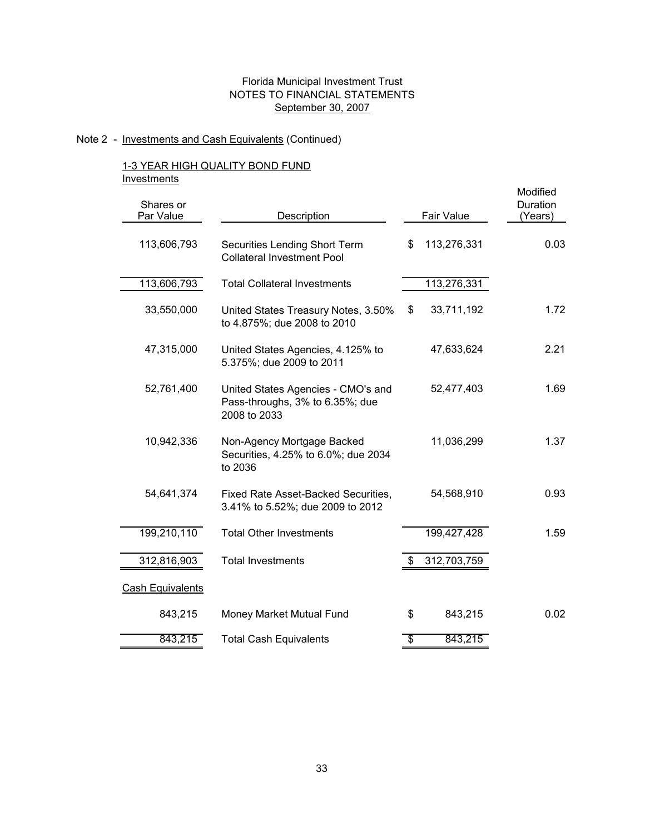# Note 2 - Investments and Cash Equivalents (Continued)

## 1-3 YEAR HIGH QUALITY BOND FUND **Investments**

| Shares or<br>Par Value | Description                                                                           |                 | Fair Value  | Modified<br>Duration<br>(Years) |
|------------------------|---------------------------------------------------------------------------------------|-----------------|-------------|---------------------------------|
| 113,606,793            | Securities Lending Short Term<br><b>Collateral Investment Pool</b>                    | \$              | 113,276,331 | 0.03                            |
| 113,606,793            | <b>Total Collateral Investments</b>                                                   |                 | 113,276,331 |                                 |
| 33,550,000             | United States Treasury Notes, 3.50%<br>to 4.875%; due 2008 to 2010                    | \$              | 33,711,192  | 1.72                            |
| 47,315,000             | United States Agencies, 4.125% to<br>5.375%; due 2009 to 2011                         |                 | 47,633,624  | 2.21                            |
| 52,761,400             | United States Agencies - CMO's and<br>Pass-throughs, 3% to 6.35%; due<br>2008 to 2033 |                 | 52,477,403  | 1.69                            |
| 10,942,336             | Non-Agency Mortgage Backed<br>Securities, 4.25% to 6.0%; due 2034<br>to 2036          |                 | 11,036,299  | 1.37                            |
| 54,641,374             | Fixed Rate Asset-Backed Securities,<br>3.41% to 5.52%; due 2009 to 2012               |                 | 54,568,910  | 0.93                            |
| 199,210,110            | <b>Total Other Investments</b>                                                        |                 | 199,427,428 | 1.59                            |
| 312,816,903            | <b>Total Investments</b>                                                              | \$              | 312,703,759 |                                 |
| Cash Equivalents       |                                                                                       |                 |             |                                 |
| 843,215                | Money Market Mutual Fund                                                              | \$              | 843,215     | 0.02                            |
| 843,215                | <b>Total Cash Equivalents</b>                                                         | $\overline{\$}$ | 843,215     |                                 |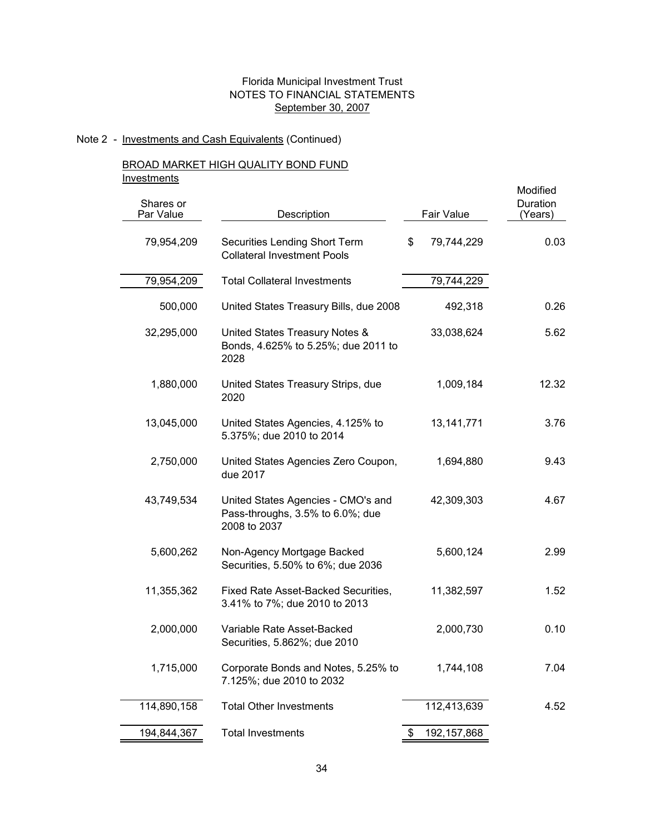# Note 2 - Investments and Cash Equivalents (Continued)

# BROAD MARKET HIGH QUALITY BOND FUND **Investments**

| <u></u><br>Shares or<br>Par Value | Description                                                                            | Fair Value          | Modified<br>Duration<br>(Years) |
|-----------------------------------|----------------------------------------------------------------------------------------|---------------------|---------------------------------|
| 79,954,209                        | Securities Lending Short Term<br><b>Collateral Investment Pools</b>                    | 79,744,229<br>\$    | 0.03                            |
| 79,954,209                        | <b>Total Collateral Investments</b>                                                    | 79,744,229          |                                 |
| 500,000                           | United States Treasury Bills, due 2008                                                 | 492,318             | 0.26                            |
| 32,295,000                        | United States Treasury Notes &<br>Bonds, 4.625% to 5.25%; due 2011 to<br>2028          | 33,038,624          | 5.62                            |
| 1,880,000                         | United States Treasury Strips, due<br>2020                                             | 1,009,184           | 12.32                           |
| 13,045,000                        | United States Agencies, 4.125% to<br>5.375%; due 2010 to 2014                          | 13, 141, 771        | 3.76                            |
| 2,750,000                         | United States Agencies Zero Coupon,<br>due 2017                                        | 1,694,880           | 9.43                            |
| 43,749,534                        | United States Agencies - CMO's and<br>Pass-throughs, 3.5% to 6.0%; due<br>2008 to 2037 | 42,309,303          | 4.67                            |
| 5,600,262                         | Non-Agency Mortgage Backed<br>Securities, 5.50% to 6%; due 2036                        | 5,600,124           | 2.99                            |
| 11,355,362                        | Fixed Rate Asset-Backed Securities,<br>3.41% to 7%; due 2010 to 2013                   | 11,382,597          | 1.52                            |
| 2,000,000                         | Variable Rate Asset-Backed<br>Securities, 5.862%; due 2010                             | 2,000,730           | 0.10                            |
| 1,715,000                         | Corporate Bonds and Notes, 5.25% to<br>7.125%; due 2010 to 2032                        | 1,744,108           | 7.04                            |
| 114,890,158                       | <b>Total Other Investments</b>                                                         | 112,413,639         | 4.52                            |
| 194,844,367                       | <b>Total Investments</b>                                                               | 192, 157, 868<br>P. |                                 |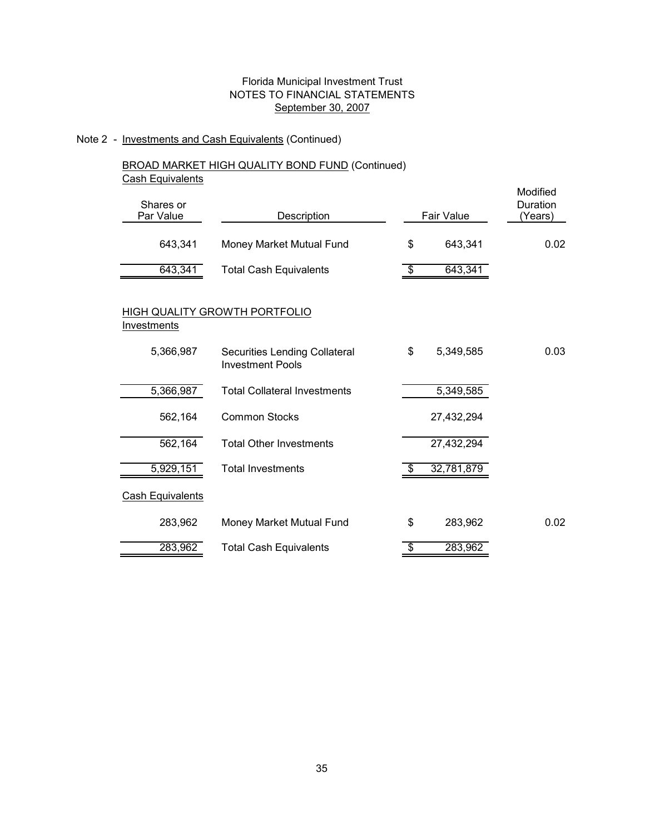# Note 2 - Investments and Cash Equivalents (Continued)

# BROAD MARKET HIGH QUALITY BOND FUND (Continued) **Cash Equivalents**

| Shares or<br>Par Value  | Description                                              |                         | Fair Value | Modified<br>Duration<br>(Years) |
|-------------------------|----------------------------------------------------------|-------------------------|------------|---------------------------------|
| 643,341                 | Money Market Mutual Fund                                 | \$                      | 643,341    | 0.02                            |
| 643,341                 | <b>Total Cash Equivalents</b>                            | $\overline{\mathbb{S}}$ | 643,341    |                                 |
| Investments             | HIGH QUALITY GROWTH PORTFOLIO                            |                         |            |                                 |
| 5,366,987               | Securities Lending Collateral<br><b>Investment Pools</b> | \$                      | 5,349,585  | 0.03                            |
| 5,366,987               | <b>Total Collateral Investments</b>                      |                         | 5,349,585  |                                 |
| 562,164                 | <b>Common Stocks</b>                                     |                         | 27,432,294 |                                 |
| 562,164                 | <b>Total Other Investments</b>                           |                         | 27,432,294 |                                 |
| 5,929,151               | <b>Total Investments</b>                                 | \$                      | 32,781,879 |                                 |
| <b>Cash Equivalents</b> |                                                          |                         |            |                                 |
| 283,962                 | Money Market Mutual Fund                                 | \$                      | 283,962    | 0.02                            |
| 283,962                 | <b>Total Cash Equivalents</b>                            | \$                      | 283,962    |                                 |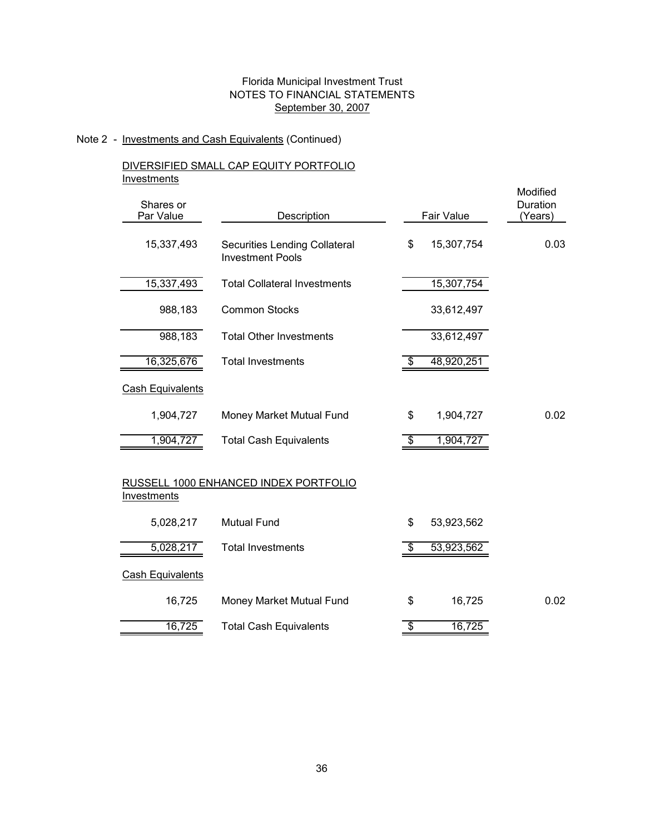# Note 2 - Investments and Cash Equivalents (Continued)

# DIVERSIFIED SMALL CAP EQUITY PORTFOLIO **Investments**

| <br>Shares or           |                                                          |                  | Modified<br>Duration |
|-------------------------|----------------------------------------------------------|------------------|----------------------|
| Par Value               | Description                                              | Fair Value       | (Years)              |
| 15,337,493              | Securities Lending Collateral<br><b>Investment Pools</b> | \$<br>15,307,754 | 0.03                 |
| 15,337,493              | <b>Total Collateral Investments</b>                      | 15,307,754       |                      |
| 988,183                 | <b>Common Stocks</b>                                     | 33,612,497       |                      |
| 988,183                 | <b>Total Other Investments</b>                           | 33,612,497       |                      |
| 16,325,676              | <b>Total Investments</b>                                 | \$<br>48,920,251 |                      |
| Cash Equivalents        |                                                          |                  |                      |
| 1,904,727               | Money Market Mutual Fund                                 | \$<br>1,904,727  | 0.02                 |
| 1,904,727               | <b>Total Cash Equivalents</b>                            | \$<br>1,904,727  |                      |
| <b>Investments</b>      | RUSSELL 1000 ENHANCED INDEX PORTFOLIO                    |                  |                      |
| 5,028,217               | <b>Mutual Fund</b>                                       | \$<br>53,923,562 |                      |
| 5,028,217               | <b>Total Investments</b>                                 | \$<br>53,923,562 |                      |
| <b>Cash Equivalents</b> |                                                          |                  |                      |
| 16,725                  | Money Market Mutual Fund                                 | \$<br>16,725     | 0.02                 |
| 16,725                  | <b>Total Cash Equivalents</b>                            | \$<br>16,725     |                      |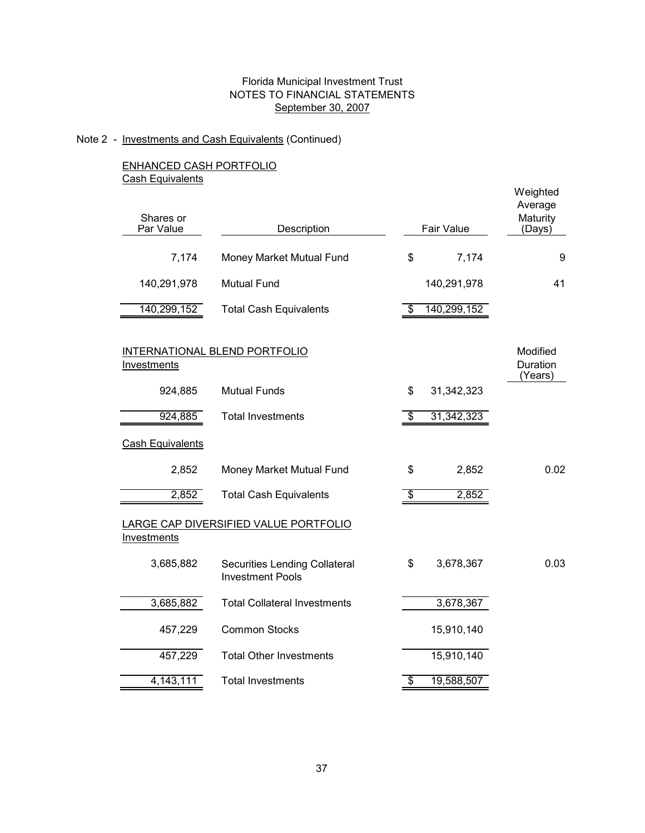Weighted

### Note 2 - Investments and Cash Equivalents (Continued)

ENHANCED CASH PORTFOLIO **Cash Equivalents** 

| Shares or<br>Par Value  | Description                                                     |                          | Fair Value  | Average<br>Maturity<br>(Days)   |
|-------------------------|-----------------------------------------------------------------|--------------------------|-------------|---------------------------------|
| 7,174                   | Money Market Mutual Fund                                        | \$                       | 7,174       | 9                               |
| 140,291,978             | <b>Mutual Fund</b>                                              |                          | 140,291,978 | 41                              |
| 140,299,152             | <b>Total Cash Equivalents</b>                                   | \$                       | 140,299,152 |                                 |
| Investments             | INTERNATIONAL BLEND PORTFOLIO                                   |                          |             | Modified<br>Duration<br>(Years) |
| 924,885                 | <b>Mutual Funds</b>                                             | \$                       | 31,342,323  |                                 |
| 924,885                 | <b>Total Investments</b>                                        | \$                       | 31,342,323  |                                 |
| <b>Cash Equivalents</b> |                                                                 |                          |             |                                 |
| 2,852                   | Money Market Mutual Fund                                        | \$                       | 2,852       | 0.02                            |
| 2,852                   | <b>Total Cash Equivalents</b>                                   | \$                       | 2,852       |                                 |
| Investments             | LARGE CAP DIVERSIFIED VALUE PORTFOLIO                           |                          |             |                                 |
| 3,685,882               | <b>Securities Lending Collateral</b><br><b>Investment Pools</b> |                          | 3,678,367   | 0.03                            |
| 3,685,882               | <b>Total Collateral Investments</b>                             |                          | 3,678,367   |                                 |
| 457,229                 | <b>Common Stocks</b>                                            |                          | 15,910,140  |                                 |
| 457,229                 | <b>Total Other Investments</b>                                  |                          | 15,910,140  |                                 |
| 4,143,111               | <b>Total Investments</b>                                        | $\overline{\mathcal{S}}$ | 19,588,507  |                                 |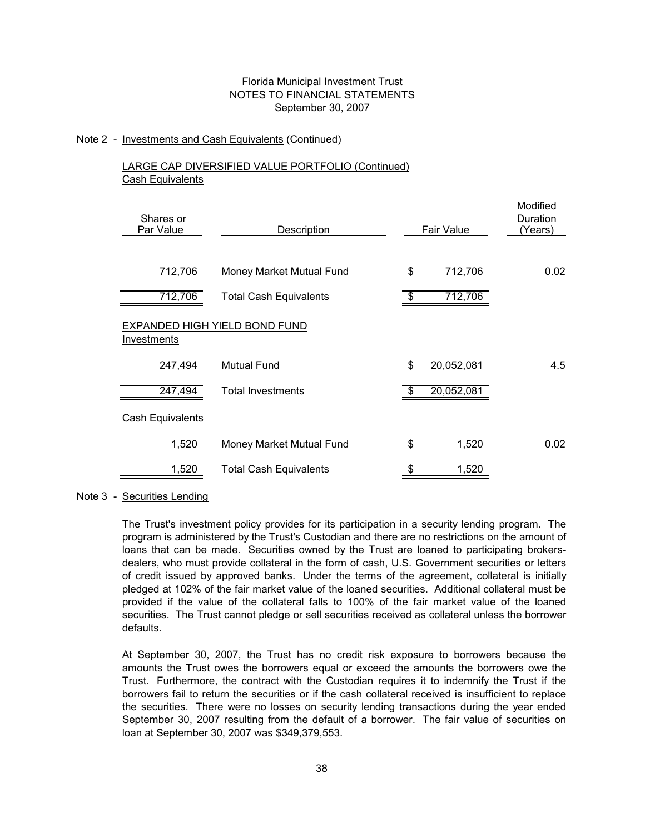### Note 2 - Investments and Cash Equivalents (Continued)

# LARGE CAP DIVERSIFIED VALUE PORTFOLIO (Continued) Cash Equivalents

| Shares or<br>Par Value  | Description                   | Fair Value       | Modified<br>Duration<br>(Years) |
|-------------------------|-------------------------------|------------------|---------------------------------|
|                         |                               |                  |                                 |
| 712,706                 | Money Market Mutual Fund      | \$<br>712,706    | 0.02                            |
| 712,706                 | <b>Total Cash Equivalents</b> | \$<br>712,706    |                                 |
| Investments             | EXPANDED HIGH YIELD BOND FUND |                  |                                 |
| 247,494                 | <b>Mutual Fund</b>            | \$<br>20,052,081 | 4.5                             |
| 247,494                 | <b>Total Investments</b>      | \$<br>20,052,081 |                                 |
| <b>Cash Equivalents</b> |                               |                  |                                 |
| 1,520                   | Money Market Mutual Fund      | \$<br>1,520      | 0.02                            |
| 1,520                   | <b>Total Cash Equivalents</b> | 1,520            |                                 |
|                         |                               |                  |                                 |

Note 3 - Securities Lending

The Trust's investment policy provides for its participation in a security lending program. The program is administered by the Trust's Custodian and there are no restrictions on the amount of loans that can be made. Securities owned by the Trust are loaned to participating brokersdealers, who must provide collateral in the form of cash, U.S. Government securities or letters of credit issued by approved banks. Under the terms of the agreement, collateral is initially pledged at 102% of the fair market value of the loaned securities. Additional collateral must be provided if the value of the collateral falls to 100% of the fair market value of the loaned securities. The Trust cannot pledge or sell securities received as collateral unless the borrower defaults.

At September 30, 2007, the Trust has no credit risk exposure to borrowers because the amounts the Trust owes the borrowers equal or exceed the amounts the borrowers owe the Trust. Furthermore, the contract with the Custodian requires it to indemnify the Trust if the borrowers fail to return the securities or if the cash collateral received is insufficient to replace the securities. There were no losses on security lending transactions during the year ended September 30, 2007 resulting from the default of a borrower. The fair value of securities on loan at September 30, 2007 was \$349,379,553.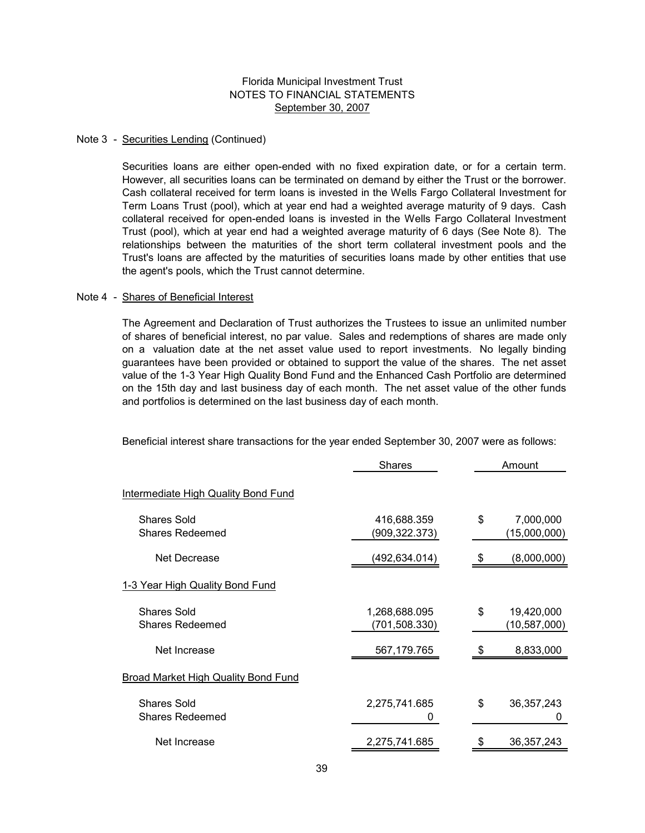#### Note 3 - Securities Lending (Continued)

Securities loans are either open-ended with no fixed expiration date, or for a certain term. However, all securities loans can be terminated on demand by either the Trust or the borrower. Cash collateral received for term loans is invested in the Wells Fargo Collateral Investment for Term Loans Trust (pool), which at year end had a weighted average maturity of 9 days. Cash collateral received for open-ended loans is invested in the Wells Fargo Collateral Investment Trust (pool), which at year end had a weighted average maturity of 6 days (See Note 8). The relationships between the maturities of the short term collateral investment pools and the Trust's loans are affected by the maturities of securities loans made by other entities that use the agent's pools, which the Trust cannot determine.

#### Note 4 - Shares of Beneficial Interest

The Agreement and Declaration of Trust authorizes the Trustees to issue an unlimited number of shares of beneficial interest, no par value. Sales and redemptions of shares are made only on a valuation date at the net asset value used to report investments. No legally binding guarantees have been provided or obtained to support the value of the shares. The net asset value of the 1-3 Year High Quality Bond Fund and the Enhanced Cash Portfolio are determined on the 15th day and last business day of each month. The net asset value of the other funds and portfolios is determined on the last business day of each month.

Beneficial interest share transactions for the year ended September 30, 2007 were as follows:

|                                              | <b>Shares</b>                  | Amount                           |
|----------------------------------------------|--------------------------------|----------------------------------|
| <b>Intermediate High Quality Bond Fund</b>   |                                |                                  |
| <b>Shares Sold</b><br><b>Shares Redeemed</b> | 416,688.359<br>(909,322.373)   | \$<br>7,000,000<br>(15,000,000)  |
| Net Decrease                                 | (492,634.014)                  | (8,000,000)                      |
| 1-3 Year High Quality Bond Fund              |                                |                                  |
| <b>Shares Sold</b><br><b>Shares Redeemed</b> | 1,268,688.095<br>(701,508.330) | \$<br>19,420,000<br>(10,587,000) |
| Net Increase                                 | 567, 179. 765                  | \$<br>8,833,000                  |
| <b>Broad Market High Quality Bond Fund</b>   |                                |                                  |
| <b>Shares Sold</b><br><b>Shares Redeemed</b> | 2,275,741.685<br>0             | \$<br>36, 357, 243<br>Ü          |
| Net Increase                                 | 2,275,741.685                  | 36, 357, 243                     |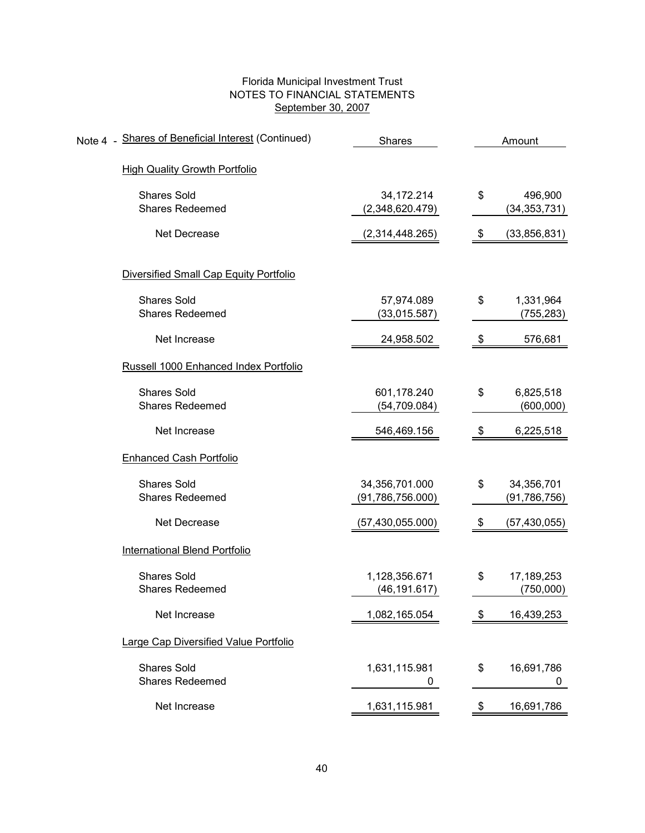| Note 4 - Shares of Beneficial Interest (Continued) | Shares                               | Amount |                              |  |  |  |
|----------------------------------------------------|--------------------------------------|--------|------------------------------|--|--|--|
| <b>High Quality Growth Portfolio</b>               |                                      |        |                              |  |  |  |
| <b>Shares Sold</b><br><b>Shares Redeemed</b>       | 34, 172. 214<br>(2,348,620.479)      | \$     | 496,900<br>(34, 353, 731)    |  |  |  |
| Net Decrease                                       | (2,314,448.265)                      | \$     | (33, 856, 831)               |  |  |  |
| Diversified Small Cap Equity Portfolio             |                                      |        |                              |  |  |  |
| <b>Shares Sold</b><br><b>Shares Redeemed</b>       | 57,974.089<br>(33,015.587)           | \$     | 1,331,964<br>(755, 283)      |  |  |  |
| Net Increase                                       | 24,958.502                           | \$     | 576,681                      |  |  |  |
| Russell 1000 Enhanced Index Portfolio              |                                      |        |                              |  |  |  |
| <b>Shares Sold</b><br><b>Shares Redeemed</b>       | 601,178.240<br>(54, 709.084)         | \$     | 6,825,518<br>(600,000)       |  |  |  |
| Net Increase                                       | 546,469.156                          | \$     | 6,225,518                    |  |  |  |
| <b>Enhanced Cash Portfolio</b>                     |                                      |        |                              |  |  |  |
| <b>Shares Sold</b><br><b>Shares Redeemed</b>       | 34,356,701.000<br>(91, 786, 756.000) | \$     | 34,356,701<br>(91, 786, 756) |  |  |  |
| Net Decrease                                       | (57,430,055.000)                     | \$     | (57, 430, 055)               |  |  |  |
| <b>International Blend Portfolio</b>               |                                      |        |                              |  |  |  |
| <b>Shares Sold</b><br><b>Shares Redeemed</b>       | 1,128,356.671<br>(46, 191.617)       | \$     | 17,189,253<br>(750,000)      |  |  |  |
| Net Increase                                       | 1,082,165.054                        | \$     | 16,439,253                   |  |  |  |
| Large Cap Diversified Value Portfolio              |                                      |        |                              |  |  |  |
| <b>Shares Sold</b><br><b>Shares Redeemed</b>       | 1,631,115.981<br>0                   | \$     | 16,691,786<br>0              |  |  |  |
| Net Increase                                       | 1,631,115.981                        | \$     | 16,691,786                   |  |  |  |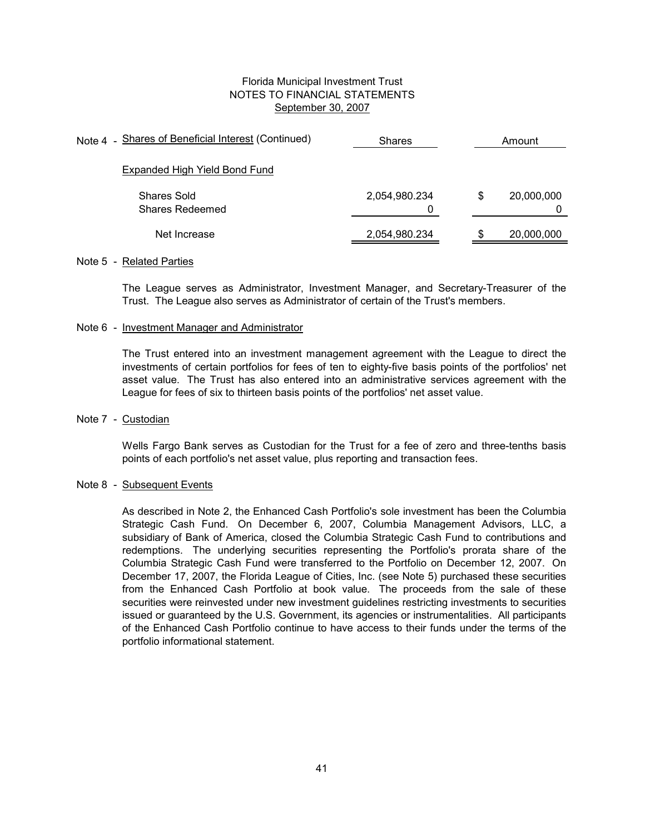| Note 4 - Shares of Beneficial Interest (Continued) | <b>Shares</b>      |   | Amount     |
|----------------------------------------------------|--------------------|---|------------|
| Expanded High Yield Bond Fund                      |                    |   |            |
| Shares Sold<br>Shares Redeemed                     | 2,054,980.234<br>0 | S | 20,000,000 |
| Net Increase                                       | 2,054,980.234      |   | 20,000,000 |

#### Note 5 - Related Parties

The League serves as Administrator, Investment Manager, and Secretary-Treasurer of the Trust. The League also serves as Administrator of certain of the Trust's members.

#### Note 6 - Investment Manager and Administrator

The Trust entered into an investment management agreement with the League to direct the investments of certain portfolios for fees of ten to eighty-five basis points of the portfolios' net asset value. The Trust has also entered into an administrative services agreement with the League for fees of six to thirteen basis points of the portfolios' net asset value.

#### Note 7 - Custodian

Wells Fargo Bank serves as Custodian for the Trust for a fee of zero and three-tenths basis points of each portfolio's net asset value, plus reporting and transaction fees.

#### Note 8 - Subsequent Events

As described in Note 2, the Enhanced Cash Portfolio's sole investment has been the Columbia Strategic Cash Fund. On December 6, 2007, Columbia Management Advisors, LLC, a subsidiary of Bank of America, closed the Columbia Strategic Cash Fund to contributions and redemptions. The underlying securities representing the Portfolio's prorata share of the Columbia Strategic Cash Fund were transferred to the Portfolio on December 12, 2007. On December 17, 2007, the Florida League of Cities, Inc. (see Note 5) purchased these securities from the Enhanced Cash Portfolio at book value. The proceeds from the sale of these securities were reinvested under new investment guidelines restricting investments to securities issued or guaranteed by the U.S. Government, its agencies or instrumentalities. All participants of the Enhanced Cash Portfolio continue to have access to their funds under the terms of the portfolio informational statement.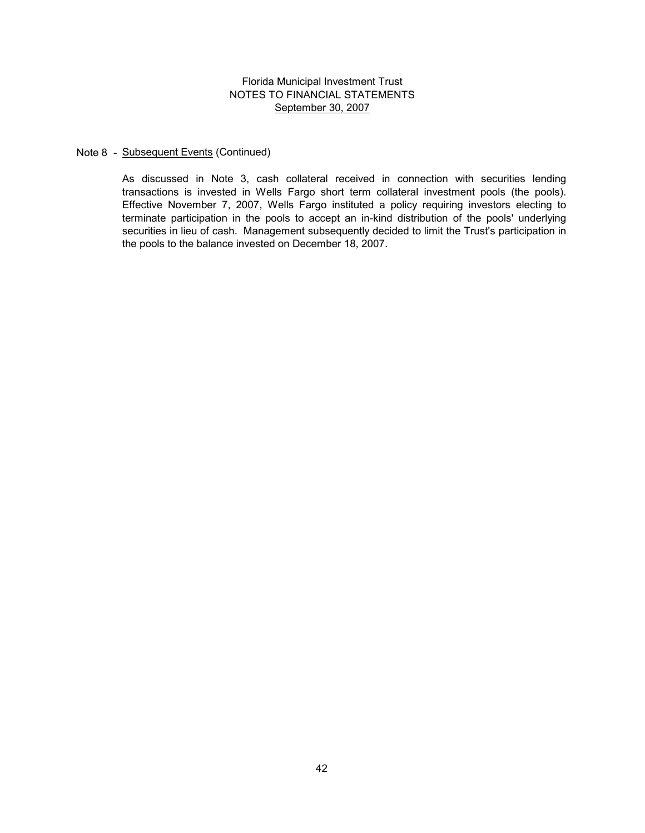#### Note 8 - Subsequent Events (Continued)

As discussed in Note 3, cash collateral received in connection with securities lending transactions is invested in Wells Fargo short term collateral investment pools (the pools). Effective November 7, 2007, Wells Fargo instituted a policy requiring investors electing to terminate participation in the pools to accept an in-kind distribution of the pools' underlying securities in lieu of cash. Management subsequently decided to limit the Trust's participation in the pools to the balance invested on December 18, 2007.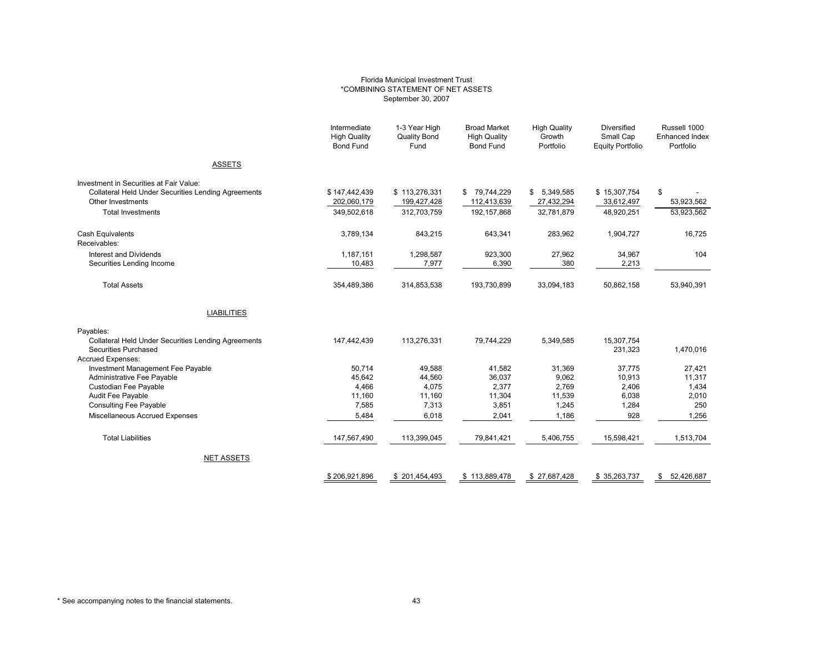#### Florida Municipal Investment Trust \*COMBINING STATEMENT OF NET ASSETS September 30, 2007

|                                                            | Intermediate<br><b>High Quality</b><br><b>Bond Fund</b> | 1-3 Year High<br><b>Quality Bond</b><br>Fund | <b>Broad Market</b><br><b>High Quality</b><br><b>Bond Fund</b> | <b>High Quality</b><br>Growth<br>Portfolio | Diversified<br>Small Cap<br><b>Equity Portfolio</b> | Russell 1000<br>Enhanced Index<br>Portfolio |
|------------------------------------------------------------|---------------------------------------------------------|----------------------------------------------|----------------------------------------------------------------|--------------------------------------------|-----------------------------------------------------|---------------------------------------------|
| <b>ASSETS</b>                                              |                                                         |                                              |                                                                |                                            |                                                     |                                             |
| Investment in Securities at Fair Value:                    |                                                         |                                              |                                                                |                                            |                                                     |                                             |
| <b>Collateral Held Under Securities Lending Agreements</b> | \$147,442,439                                           | \$113,276,331                                | \$79,744,229                                                   | \$<br>5,349,585                            | \$15,307,754                                        | \$                                          |
| Other Investments                                          | 202,060,179                                             | 199,427,428                                  | 112,413,639                                                    | 27,432,294                                 | 33,612,497                                          | 53,923,562                                  |
| <b>Total Investments</b>                                   | 349,502,618                                             | 312,703,759                                  | 192, 157, 868                                                  | 32,781,879                                 | 48,920,251                                          | 53,923,562                                  |
| <b>Cash Equivalents</b><br>Receivables:                    | 3,789,134                                               | 843,215                                      | 643,341                                                        | 283,962                                    | 1,904,727                                           | 16,725                                      |
| Interest and Dividends                                     | 1,187,151                                               | 1,298,587                                    | 923,300                                                        | 27,962                                     | 34,967                                              | 104                                         |
| Securities Lending Income                                  | 10,483                                                  | 7,977                                        | 6,390                                                          | 380                                        | 2,213                                               |                                             |
| <b>Total Assets</b>                                        | 354,489,386                                             | 314,853,538                                  | 193,730,899                                                    | 33,094,183                                 | 50,862,158                                          | 53,940,391                                  |
| <b>LIABILITIES</b>                                         |                                                         |                                              |                                                                |                                            |                                                     |                                             |
| Payables:                                                  |                                                         |                                              |                                                                |                                            |                                                     |                                             |
| <b>Collateral Held Under Securities Lending Agreements</b> | 147,442,439                                             | 113,276,331                                  | 79,744,229                                                     | 5,349,585                                  | 15,307,754                                          |                                             |
| Securities Purchased                                       |                                                         |                                              |                                                                |                                            | 231,323                                             | 1,470,016                                   |
| <b>Accrued Expenses:</b>                                   |                                                         |                                              |                                                                |                                            |                                                     |                                             |
| Investment Management Fee Payable                          | 50.714                                                  | 49,588                                       | 41,582                                                         | 31,369                                     | 37,775                                              | 27,421                                      |
| Administrative Fee Payable<br>Custodian Fee Payable        | 45,642<br>4,466                                         | 44,560<br>4,075                              | 36,037<br>2,377                                                | 9,062<br>2,769                             | 10,913<br>2,406                                     | 11,317<br>1,434                             |
| Audit Fee Payable                                          | 11.160                                                  | 11,160                                       | 11,304                                                         | 11,539                                     | 6,038                                               | 2,010                                       |
| <b>Consulting Fee Payable</b>                              | 7,585                                                   | 7,313                                        | 3,851                                                          | 1,245                                      | 1,284                                               | 250                                         |
| Miscellaneous Accrued Expenses                             | 5,484                                                   | 6,018                                        | 2,041                                                          | 1,186                                      | 928                                                 | 1,256                                       |
|                                                            |                                                         |                                              |                                                                |                                            |                                                     |                                             |
| <b>Total Liabilities</b>                                   | 147,567,490                                             | 113,399,045                                  | 79,841,421                                                     | 5,406,755                                  | 15,598,421                                          | 1,513,704                                   |
| <b>NET ASSETS</b>                                          |                                                         |                                              |                                                                |                                            |                                                     |                                             |
|                                                            | \$206.921.896                                           | \$201.454.493                                | \$113,889,478                                                  | \$27.687.428                               | \$35,263,737                                        | 52.426.687<br>\$                            |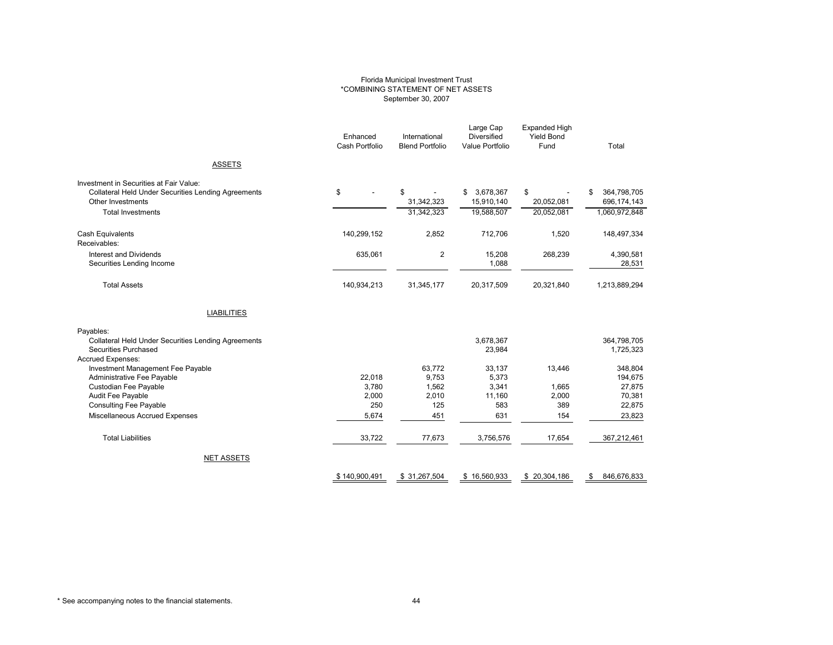#### Florida Municipal Investment Trust \*COMBINING STATEMENT OF NET ASSETS September 30, 2007

|                                                                                                                                                        | Enhanced<br>Cash Portfolio | International<br><b>Blend Portfolio</b> | Large Cap<br><b>Diversified</b><br>Value Portfolio | <b>Expanded High</b><br><b>Yield Bond</b><br>Fund | Total                                             |
|--------------------------------------------------------------------------------------------------------------------------------------------------------|----------------------------|-----------------------------------------|----------------------------------------------------|---------------------------------------------------|---------------------------------------------------|
| <b>ASSETS</b>                                                                                                                                          |                            |                                         |                                                    |                                                   |                                                   |
| Investment in Securities at Fair Value:<br><b>Collateral Held Under Securities Lending Agreements</b><br>Other Investments<br><b>Total Investments</b> | \$                         | \$<br>31,342,323<br>31,342,323          | 3,678,367<br>\$<br>15,910,140<br>19,588,507        | \$<br>20,052,081<br>20,052,081                    | 364,798,705<br>\$<br>696,174,143<br>1,060,972,848 |
| Cash Equivalents<br>Receivables:                                                                                                                       | 140,299,152                | 2,852                                   | 712,706                                            | 1,520                                             | 148,497,334                                       |
| Interest and Dividends<br>Securities Lending Income                                                                                                    | 635,061                    | 2                                       | 15,208<br>1,088                                    | 268,239                                           | 4,390,581<br>28,531                               |
| <b>Total Assets</b>                                                                                                                                    | 140,934,213                | 31,345,177                              | 20,317,509                                         | 20,321,840                                        | 1,213,889,294                                     |
| <b>LIABILITIES</b>                                                                                                                                     |                            |                                         |                                                    |                                                   |                                                   |
| Payables:<br><b>Collateral Held Under Securities Lending Agreements</b><br>Securities Purchased<br><b>Accrued Expenses:</b>                            |                            |                                         | 3,678,367<br>23,984                                |                                                   | 364,798,705<br>1,725,323                          |
| Investment Management Fee Payable<br>Administrative Fee Payable                                                                                        | 22,018                     | 63,772<br>9,753                         | 33,137<br>5,373                                    | 13,446                                            | 348,804<br>194,675                                |
| Custodian Fee Payable<br>Audit Fee Payable<br><b>Consulting Fee Payable</b>                                                                            | 3,780<br>2,000<br>250      | 1,562<br>2,010<br>125                   | 3,341<br>11,160<br>583                             | 1,665<br>2,000<br>389                             | 27,875<br>70,381<br>22,875                        |
| Miscellaneous Accrued Expenses                                                                                                                         | 5,674                      | 451                                     | 631                                                | 154                                               | 23,823                                            |
| <b>Total Liabilities</b>                                                                                                                               | 33,722                     | 77,673                                  | 3,756,576                                          | 17,654                                            | 367,212,461                                       |
| <b>NET ASSETS</b>                                                                                                                                      |                            |                                         |                                                    |                                                   |                                                   |
|                                                                                                                                                        | \$140,900,491              | \$31,267,504                            | \$16,560,933                                       | \$ 20,304,186                                     | 846,676,833<br>\$                                 |

\* See accompanying notes to the financial statements. 44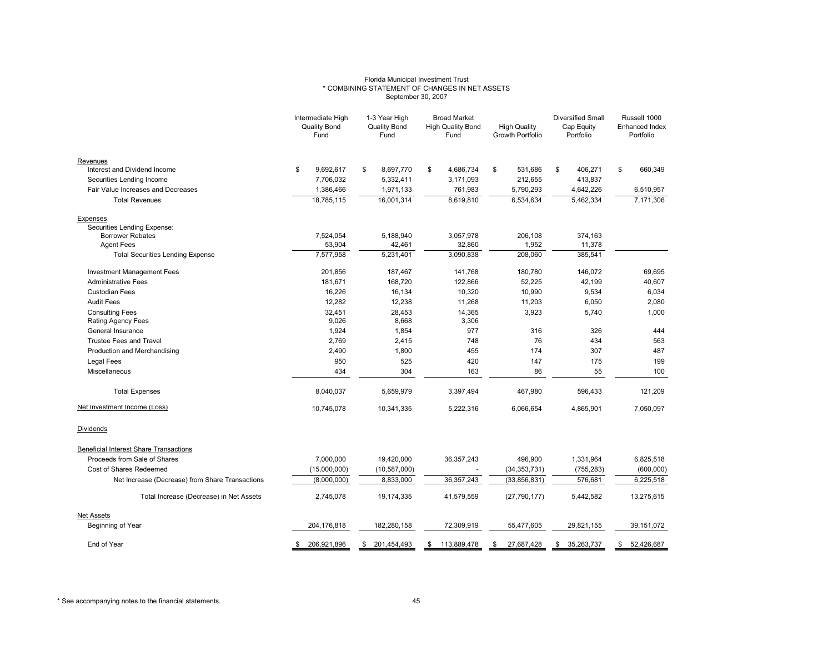#### Florida Municipal Investment Trust \* COMBINING STATEMENT OF CHANGES IN NET ASSETS September 30, 2007

|                                                 |     | 1-3 Year High<br><b>Broad Market</b><br>Intermediate High<br>Quality Bond<br>Quality Bond<br><b>High Quality Bond</b><br><b>High Quality</b><br>Fund<br>Fund<br>Fund<br>Growth Portfolio |    |                | <b>Diversified Small</b><br>Cap Equity<br>Portfolio |              | Russell 1000<br>Enhanced Index<br>Portfolio |                |    |            |    |              |
|-------------------------------------------------|-----|------------------------------------------------------------------------------------------------------------------------------------------------------------------------------------------|----|----------------|-----------------------------------------------------|--------------|---------------------------------------------|----------------|----|------------|----|--------------|
| Revenues                                        |     |                                                                                                                                                                                          |    |                |                                                     |              |                                             |                |    |            |    |              |
| Interest and Dividend Income                    | \$  | 9,692,617                                                                                                                                                                                | \$ | 8,697,770      | \$                                                  | 4,686,734    | \$                                          | 531,686        | \$ | 406,271    | \$ | 660,349      |
| Securities Lending Income                       |     | 7,706,032                                                                                                                                                                                |    | 5,332,411      |                                                     | 3,171,093    |                                             | 212,655        |    | 413,837    |    |              |
| Fair Value Increases and Decreases              |     | 1,386,466                                                                                                                                                                                |    | 1,971,133      |                                                     | 761,983      |                                             | 5,790,293      |    | 4,642,226  |    | 6,510,957    |
| <b>Total Revenues</b>                           |     | 18,785,115                                                                                                                                                                               |    | 16,001,314     |                                                     | 8.619.810    |                                             | 6,534,634      |    | 5,462,334  |    | 7,171,306    |
| Expenses<br>Securities Lending Expense:         |     |                                                                                                                                                                                          |    |                |                                                     |              |                                             |                |    |            |    |              |
| <b>Borrower Rebates</b>                         |     | 7,524,054                                                                                                                                                                                |    | 5,188,940      |                                                     | 3,057,978    |                                             | 206,108        |    | 374,163    |    |              |
| <b>Agent Fees</b>                               |     | 53,904                                                                                                                                                                                   |    | 42,461         |                                                     | 32,860       |                                             | 1,952          |    | 11,378     |    |              |
| <b>Total Securities Lending Expense</b>         |     | 7,577,958                                                                                                                                                                                |    | 5,231,401      |                                                     | 3,090,838    |                                             | 208,060        |    | 385,541    |    |              |
| <b>Investment Management Fees</b>               |     | 201.856                                                                                                                                                                                  |    | 187,467        |                                                     | 141,768      |                                             | 180,780        |    | 146,072    |    | 69,695       |
| <b>Administrative Fees</b>                      |     | 181,671                                                                                                                                                                                  |    | 168,720        |                                                     | 122,866      |                                             | 52,225         |    | 42,199     |    | 40,607       |
| <b>Custodian Fees</b>                           |     | 16,226                                                                                                                                                                                   |    | 16,134         |                                                     | 10,320       |                                             | 10,990         |    | 9,534      |    | 6,034        |
| <b>Audit Fees</b>                               |     | 12,282                                                                                                                                                                                   |    | 12,238         |                                                     | 11,268       |                                             | 11,203         |    | 6,050      |    | 2,080        |
| <b>Consulting Fees</b>                          |     | 32,451                                                                                                                                                                                   |    | 28,453         |                                                     | 14,365       |                                             | 3,923          |    | 5,740      |    | 1.000        |
| Rating Agency Fees                              |     | 9,026                                                                                                                                                                                    |    | 8,668          |                                                     | 3,306        |                                             |                |    |            |    |              |
| General Insurance                               |     | 1,924                                                                                                                                                                                    |    | 1,854          |                                                     | 977          |                                             | 316            |    | 326        |    | 444          |
| <b>Trustee Fees and Travel</b>                  |     | 2,769                                                                                                                                                                                    |    | 2,415          |                                                     | 748          |                                             | 76             |    | 434        |    | 563          |
| Production and Merchandising                    |     | 2,490                                                                                                                                                                                    |    | 1,800          |                                                     | 455          |                                             | 174            |    | 307        |    | 487          |
| Legal Fees                                      |     | 950                                                                                                                                                                                      |    | 525            |                                                     | 420          |                                             | 147            |    | 175        |    | 199          |
| Miscellaneous                                   |     | 434                                                                                                                                                                                      |    | 304            |                                                     | 163          |                                             | 86             |    | 55         |    | 100          |
| <b>Total Expenses</b>                           |     | 8,040,037                                                                                                                                                                                |    | 5,659,979      |                                                     | 3,397,494    |                                             | 467,980        |    | 596,433    |    | 121,209      |
| Net Investment Income (Loss)                    |     | 10,745,078                                                                                                                                                                               |    | 10,341,335     |                                                     | 5,222,316    |                                             | 6,066,654      |    | 4,865,901  |    | 7,050,097    |
| Dividends                                       |     |                                                                                                                                                                                          |    |                |                                                     |              |                                             |                |    |            |    |              |
| <b>Beneficial Interest Share Transactions</b>   |     |                                                                                                                                                                                          |    |                |                                                     |              |                                             |                |    |            |    |              |
| Proceeds from Sale of Shares                    |     | 7,000,000                                                                                                                                                                                |    | 19,420,000     |                                                     | 36, 357, 243 |                                             | 496,900        |    | 1,331,964  |    | 6,825,518    |
| Cost of Shares Redeemed                         |     | (15,000,000)                                                                                                                                                                             |    | (10, 587, 000) |                                                     |              |                                             | (34, 353, 731) |    | (755, 283) |    | (600, 000)   |
| Net Increase (Decrease) from Share Transactions |     | (8,000,000)                                                                                                                                                                              |    | 8,833,000      |                                                     | 36, 357, 243 |                                             | (33, 856, 831) |    | 576,681    |    | 6,225,518    |
| Total Increase (Decrease) in Net Assets         |     | 2,745,078                                                                                                                                                                                |    | 19,174,335     |                                                     | 41,579,559   |                                             | (27, 790, 177) |    | 5,442,582  |    | 13,275,615   |
| <b>Net Assets</b>                               |     |                                                                                                                                                                                          |    |                |                                                     |              |                                             |                |    |            |    |              |
| Beginning of Year                               |     | 204, 176, 818                                                                                                                                                                            |    | 182,280,158    |                                                     | 72,309,919   |                                             | 55,477,605     |    | 29,821,155 |    | 39, 151, 072 |
| End of Year                                     | \$. | 206,921,896                                                                                                                                                                              | \$ | 201,454,493    | S                                                   | 113,889,478  | S                                           | 27,687,428     | S  | 35,263,737 | \$ | 52,426,687   |